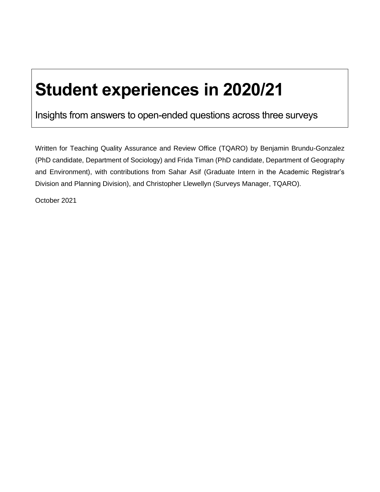# **Student experiences in 2020/21**

Insights from answers to open-ended questions across three surveys

Written for Teaching Quality Assurance and Review Office (TQARO) by Benjamin Brundu-Gonzalez (PhD candidate, Department of Sociology) and Frida Timan (PhD candidate, Department of Geography and Environment), with contributions from Sahar Asif (Graduate Intern in the Academic Registrar's Division and Planning Division), and Christopher Llewellyn (Surveys Manager, TQARO).

October 2021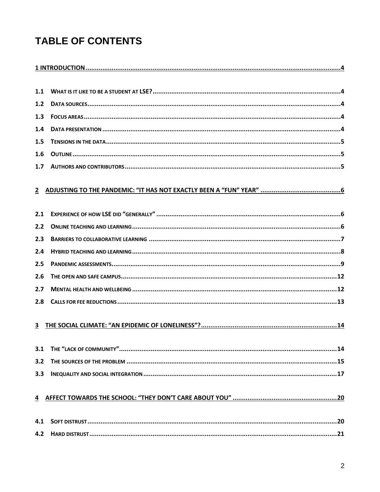## **TABLE OF CONTENTS**

| 1.1 |  |
|-----|--|
| 1.2 |  |
| 1.3 |  |
| 1.4 |  |
| 1.5 |  |
| 1.6 |  |
| 1.7 |  |
|     |  |
| 2.1 |  |
| 2.2 |  |
| 2.3 |  |
| 2.4 |  |
| 2.5 |  |
| 2.6 |  |
| 2.7 |  |
| 2.8 |  |
| 3   |  |
| 3.1 |  |
| 3.2 |  |
| 3.3 |  |
| 4   |  |
| 4.1 |  |
| 4.2 |  |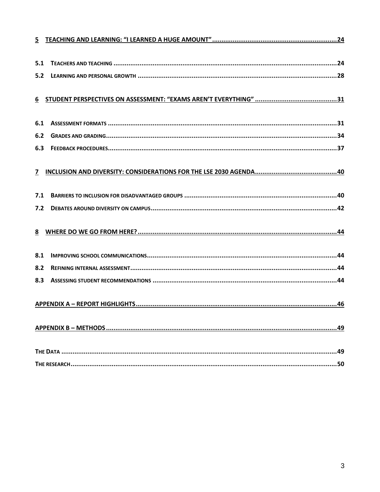| 5.1 |  |
|-----|--|
| 5.2 |  |
|     |  |
| 6.1 |  |
| 6.2 |  |
| 6.3 |  |
|     |  |
| 7.1 |  |
| 7.2 |  |
|     |  |
| 8.1 |  |
| 8.2 |  |
| 8.3 |  |
|     |  |
|     |  |
|     |  |
|     |  |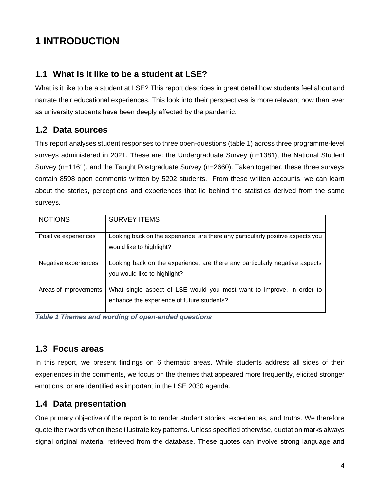## <span id="page-3-0"></span>**1 INTRODUCTION**

## <span id="page-3-1"></span>**1.1 What is it like to be a student at LSE?**

What is it like to be a student at LSE? This report describes in great detail how students feel about and narrate their educational experiences. This look into their perspectives is more relevant now than ever as university students have been deeply affected by the pandemic.

## <span id="page-3-2"></span>**1.2 Data sources**

This report analyses student responses to three open-questions (table 1) across three programme-level surveys administered in 2021. These are: the Undergraduate Survey (n=1381), the National Student Survey (n=1161), and the Taught Postgraduate Survey (n=2660). Taken together, these three surveys contain 8598 open comments written by 5202 students. From these written accounts, we can learn about the stories, perceptions and experiences that lie behind the statistics derived from the same surveys.

| <b>NOTIONS</b>        | <b>SURVEY ITEMS</b>                                                                                                 |
|-----------------------|---------------------------------------------------------------------------------------------------------------------|
| Positive experiences  | Looking back on the experience, are there any particularly positive aspects you<br>would like to highlight?         |
| Negative experiences  | Looking back on the experience, are there any particularly negative aspects<br>you would like to highlight?         |
| Areas of improvements | What single aspect of LSE would you most want to improve, in order to<br>enhance the experience of future students? |

*Table 1 Themes and wording of open-ended questions*

## <span id="page-3-3"></span>**1.3 Focus areas**

In this report, we present findings on 6 thematic areas. While students address all sides of their experiences in the comments, we focus on the themes that appeared more frequently, elicited stronger emotions, or are identified as important in the LSE 2030 agenda.

## <span id="page-3-4"></span>**1.4 Data presentation**

One primary objective of the report is to render student stories, experiences, and truths. We therefore quote their words when these illustrate key patterns. Unless specified otherwise, quotation marks always signal original material retrieved from the database. These quotes can involve strong language and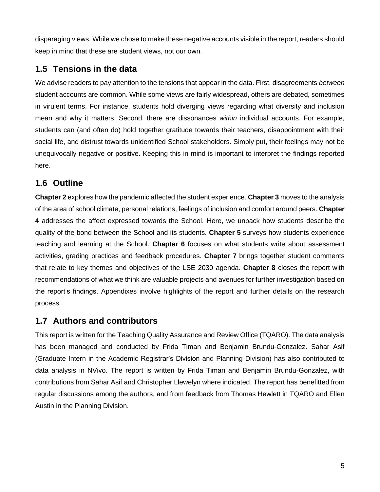disparaging views. While we chose to make these negative accounts visible in the report, readers should keep in mind that these are student views, not our own.

## <span id="page-4-0"></span>**1.5 Tensions in the data**

We advise readers to pay attention to the tensions that appear in the data. First, disagreements *between* student accounts are common. While some views are fairly widespread, others are debated, sometimes in virulent terms. For instance, students hold diverging views regarding what diversity and inclusion mean and why it matters. Second, there are dissonances *within* individual accounts. For example, students can (and often do) hold together gratitude towards their teachers, disappointment with their social life, and distrust towards unidentified School stakeholders. Simply put, their feelings may not be unequivocally negative or positive. Keeping this in mind is important to interpret the findings reported here.

## <span id="page-4-1"></span>**1.6 Outline**

**Chapter 2** explores how the pandemic affected the student experience. **Chapter 3** moves to the analysis of the area of school climate, personal relations, feelings of inclusion and comfort around peers. **Chapter 4** addresses the affect expressed towards the School. Here, we unpack how students describe the quality of the bond between the School and its students. **Chapter 5** surveys how students experience teaching and learning at the School. **Chapter 6** focuses on what students write about assessment activities, grading practices and feedback procedures. **Chapter 7** brings together student comments that relate to key themes and objectives of the LSE 2030 agenda. **Chapter 8** closes the report with recommendations of what we think are valuable projects and avenues for further investigation based on the report's findings. Appendixes involve highlights of the report and further details on the research process.

## <span id="page-4-2"></span>**1.7 Authors and contributors**

This report is written for the Teaching Quality Assurance and Review Office (TQARO). The data analysis has been managed and conducted by Frida Timan and Benjamin Brundu-Gonzalez. Sahar Asif (Graduate Intern in the Academic Registrar's Division and Planning Division) has also contributed to data analysis in NVivo. The report is written by Frida Timan and Benjamin Brundu-Gonzalez, with contributions from Sahar Asif and Christopher Llewelyn where indicated. The report has benefitted from regular discussions among the authors, and from feedback from Thomas Hewlett in TQARO and Ellen Austin in the Planning Division.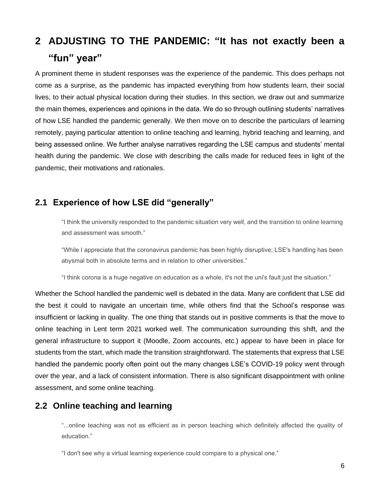## <span id="page-5-0"></span>**2 ADJUSTING TO THE PANDEMIC: "It has not exactly been a "fun" year"**

A prominent theme in student responses was the experience of the pandemic. This does perhaps not come as a surprise, as the pandemic has impacted everything from how students learn, their social lives, to their actual physical location during their studies. In this section, we draw out and summarize the main themes, experiences and opinions in the data. We do so through outlining students' narratives of how LSE handled the pandemic generally. We then move on to describe the particulars of learning remotely, paying particular attention to online teaching and learning, hybrid teaching and learning, and being assessed online. We further analyse narratives regarding the LSE campus and students' mental health during the pandemic. We close with describing the calls made for reduced fees in light of the pandemic, their motivations and rationales.

## <span id="page-5-1"></span>**2.1 Experience of how LSE did "generally"**

"I think the university responded to the pandemic situation very well, and the transition to online learning and assessment was smooth."

"While I appreciate that the coronavirus pandemic has been highly disruptive; LSE's handling has been abysmal both in absolute terms and in relation to other universities."

"I think corona is a huge negative on education as a whole, it's not the uni's fault just the situation."

Whether the School handled the pandemic well is debated in the data. Many are confident that LSE did the best it could to navigate an uncertain time, while others find that the School's response was insufficient or lacking in quality. The one thing that stands out in positive comments is that the move to online teaching in Lent term 2021 worked well. The communication surrounding this shift, and the general infrastructure to support it (Moodle, Zoom accounts, etc.) appear to have been in place for students from the start, which made the transition straightforward. The statements that express that LSE handled the pandemic poorly often point out the many changes LSE's COVID-19 policy went through over the year, and a lack of consistent information. There is also significant disappointment with online assessment, and some online teaching.

## <span id="page-5-2"></span>**2.2 Online teaching and learning**

"...online teaching was not as efficient as in person teaching which definitely affected the quality of education."

"I don't see why a virtual learning experience could compare to a physical one."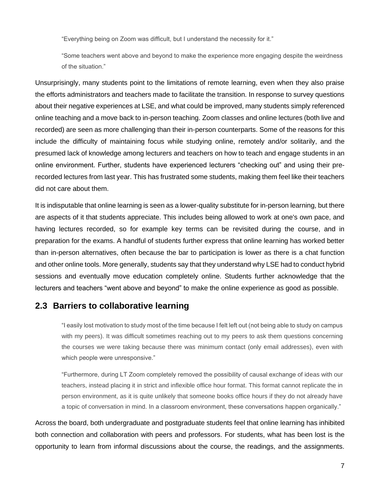"Everything being on Zoom was difficult, but I understand the necessity for it."

"Some teachers went above and beyond to make the experience more engaging despite the weirdness of the situation."

Unsurprisingly, many students point to the limitations of remote learning, even when they also praise the efforts administrators and teachers made to facilitate the transition. In response to survey questions about their negative experiences at LSE, and what could be improved, many students simply referenced online teaching and a move back to in-person teaching. Zoom classes and online lectures (both live and recorded) are seen as more challenging than their in-person counterparts. Some of the reasons for this include the difficulty of maintaining focus while studying online, remotely and/or solitarily, and the presumed lack of knowledge among lecturers and teachers on how to teach and engage students in an online environment. Further, students have experienced lecturers "checking out" and using their prerecorded lectures from last year. This has frustrated some students, making them feel like their teachers did not care about them.

It is indisputable that online learning is seen as a lower-quality substitute for in-person learning, but there are aspects of it that students appreciate. This includes being allowed to work at one's own pace, and having lectures recorded, so for example key terms can be revisited during the course, and in preparation for the exams. A handful of students further express that online learning has worked better than in-person alternatives, often because the bar to participation is lower as there is a chat function and other online tools. More generally, students say that they understand why LSE had to conduct hybrid sessions and eventually move education completely online. Students further acknowledge that the lecturers and teachers "went above and beyond" to make the online experience as good as possible.

### <span id="page-6-0"></span>**2.3 Barriers to collaborative learning**

"I easily lost motivation to study most of the time because I felt left out (not being able to study on campus with my peers). It was difficult sometimes reaching out to my peers to ask them questions concerning the courses we were taking because there was minimum contact (only email addresses), even with which people were unresponsive."

"Furthermore, during LT Zoom completely removed the possibility of causal exchange of ideas with our teachers, instead placing it in strict and inflexible office hour format. This format cannot replicate the in person environment, as it is quite unlikely that someone books office hours if they do not already have a topic of conversation in mind. In a classroom environment, these conversations happen organically."

Across the board, both undergraduate and postgraduate students feel that online learning has inhibited both connection and collaboration with peers and professors. For students, what has been lost is the opportunity to learn from informal discussions about the course, the readings, and the assignments.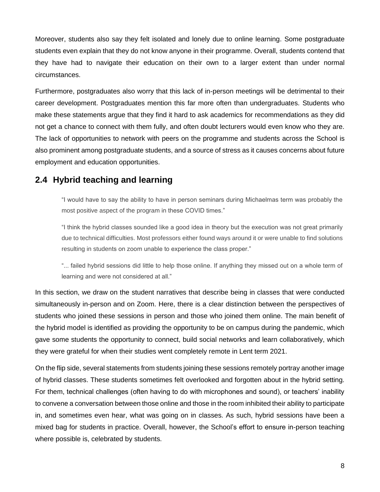Moreover, students also say they felt isolated and lonely due to online learning. Some postgraduate students even explain that they do not know anyone in their programme. Overall, students contend that they have had to navigate their education on their own to a larger extent than under normal circumstances.

Furthermore, postgraduates also worry that this lack of in-person meetings will be detrimental to their career development. Postgraduates mention this far more often than undergraduates. Students who make these statements argue that they find it hard to ask academics for recommendations as they did not get a chance to connect with them fully, and often doubt lecturers would even know who they are. The lack of opportunities to network with peers on the programme and students across the School is also prominent among postgraduate students, and a source of stress as it causes concerns about future employment and education opportunities.

## <span id="page-7-0"></span>**2.4 Hybrid teaching and learning**

"I would have to say the ability to have in person seminars during Michaelmas term was probably the most positive aspect of the program in these COVID times."

"I think the hybrid classes sounded like a good idea in theory but the execution was not great primarily due to technical difficulties. Most professors either found ways around it or were unable to find solutions resulting in students on zoom unable to experience the class proper."

"... failed hybrid sessions did little to help those online. If anything they missed out on a whole term of learning and were not considered at all."

In this section, we draw on the student narratives that describe being in classes that were conducted simultaneously in-person and on Zoom. Here, there is a clear distinction between the perspectives of students who joined these sessions in person and those who joined them online. The main benefit of the hybrid model is identified as providing the opportunity to be on campus during the pandemic, which gave some students the opportunity to connect, build social networks and learn collaboratively, which they were grateful for when their studies went completely remote in Lent term 2021.

On the flip side, several statements from students joining these sessions remotely portray another image of hybrid classes. These students sometimes felt overlooked and forgotten about in the hybrid setting. For them, technical challenges (often having to do with microphones and sound), or teachers' inability to convene a conversation between those online and those in the room inhibited their ability to participate in, and sometimes even hear, what was going on in classes. As such, hybrid sessions have been a mixed bag for students in practice. Overall, however, the School's effort to ensure in-person teaching where possible is, celebrated by students.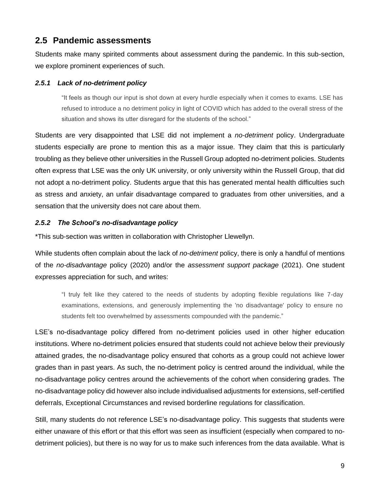## <span id="page-8-0"></span>**2.5 Pandemic assessments**

Students make many spirited comments about assessment during the pandemic. In this sub-section, we explore prominent experiences of such.

#### *2.5.1 Lack of no-detriment policy*

"It feels as though our input is shot down at every hurdle especially when it comes to exams. LSE has refused to introduce a no detriment policy in light of COVID which has added to the overall stress of the situation and shows its utter disregard for the students of the school."

Students are very disappointed that LSE did not implement a *no-detriment* policy. Undergraduate students especially are prone to mention this as a major issue. They claim that this is particularly troubling as they believe other universities in the Russell Group adopted no-detriment policies. Students often express that LSE was the only UK university, or only university within the Russell Group, that did not adopt a no-detriment policy. Students argue that this has generated mental health difficulties such as stress and anxiety, an unfair disadvantage compared to graduates from other universities, and a sensation that the university does not care about them.

#### *2.5.2 The School's no-disadvantage policy*

\*This sub-section was written in collaboration with Christopher Llewellyn.

While students often complain about the lack of *no-detriment* policy, there is only a handful of mentions of the *no-disadvantage* policy (2020) and/or the *assessment support package* (2021). One student expresses appreciation for such, and writes:

"I truly felt like they catered to the needs of students by adopting flexible regulations like 7-day examinations, extensions, and generously implementing the 'no disadvantage' policy to ensure no students felt too overwhelmed by assessments compounded with the pandemic."

LSE's no-disadvantage policy differed from no-detriment policies used in other higher education institutions. Where no-detriment policies ensured that students could not achieve below their previously attained grades, the no-disadvantage policy ensured that cohorts as a group could not achieve lower grades than in past years. As such, the no-detriment policy is centred around the individual, while the no-disadvantage policy centres around the achievements of the cohort when considering grades. The no-disadvantage policy did however also include individualised adjustments for extensions, self-certified deferrals, Exceptional Circumstances and revised borderline regulations for classification.

Still, many students do not reference LSE's no-disadvantage policy. This suggests that students were either unaware of this effort or that this effort was seen as insufficient (especially when compared to nodetriment policies), but there is no way for us to make such inferences from the data available. What is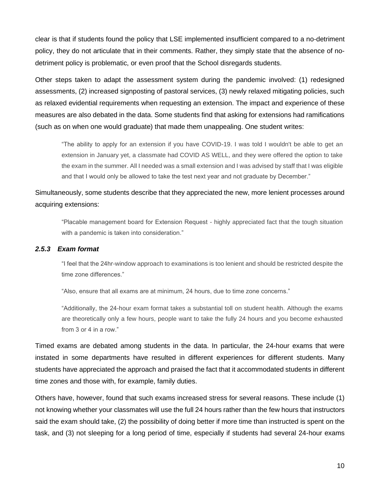clear is that if students found the policy that LSE implemented insufficient compared to a no-detriment policy, they do not articulate that in their comments. Rather, they simply state that the absence of nodetriment policy is problematic, or even proof that the School disregards students.

Other steps taken to adapt the assessment system during the pandemic involved: (1) redesigned assessments, (2) increased signposting of pastoral services, (3) newly relaxed mitigating policies, such as relaxed evidential requirements when requesting an extension. The impact and experience of these measures are also debated in the data. Some students find that asking for extensions had ramifications (such as on when one would graduate) that made them unappealing. One student writes:

"The ability to apply for an extension if you have COVID-19. I was told I wouldn't be able to get an extension in January yet, a classmate had COVID AS WELL, and they were offered the option to take the exam in the summer. All I needed was a small extension and I was advised by staff that I was eligible and that I would only be allowed to take the test next year and not graduate by December."

## Simultaneously, some students describe that they appreciated the new, more lenient processes around acquiring extensions:

"Placable management board for Extension Request - highly appreciated fact that the tough situation with a pandemic is taken into consideration."

#### *2.5.3 Exam format*

"I feel that the 24hr-window approach to examinations is too lenient and should be restricted despite the time zone differences."

"Also, ensure that all exams are at minimum, 24 hours, due to time zone concerns."

"Additionally, the 24-hour exam format takes a substantial toll on student health. Although the exams are theoretically only a few hours, people want to take the fully 24 hours and you become exhausted from 3 or 4 in a row."

Timed exams are debated among students in the data. In particular, the 24-hour exams that were instated in some departments have resulted in different experiences for different students. Many students have appreciated the approach and praised the fact that it accommodated students in different time zones and those with, for example, family duties.

Others have, however, found that such exams increased stress for several reasons. These include (1) not knowing whether your classmates will use the full 24 hours rather than the few hours that instructors said the exam should take, (2) the possibility of doing better if more time than instructed is spent on the task, and (3) not sleeping for a long period of time, especially if students had several 24-hour exams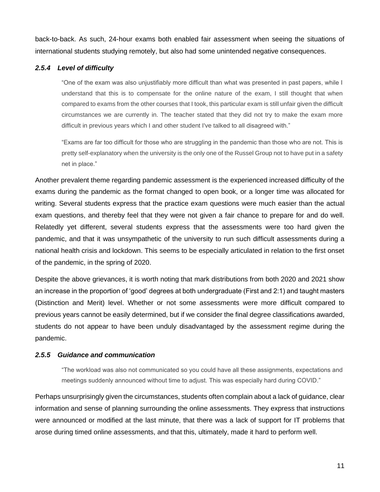back-to-back. As such, 24-hour exams both enabled fair assessment when seeing the situations of international students studying remotely, but also had some unintended negative consequences.

#### *2.5.4 Level of difficulty*

"One of the exam was also unjustifiably more difficult than what was presented in past papers, while I understand that this is to compensate for the online nature of the exam, I still thought that when compared to exams from the other courses that I took, this particular exam is still unfair given the difficult circumstances we are currently in. The teacher stated that they did not try to make the exam more difficult in previous years which I and other student I've talked to all disagreed with."

"Exams are far too difficult for those who are struggling in the pandemic than those who are not. This is pretty self-explanatory when the university is the only one of the Russel Group not to have put in a safety net in place."

Another prevalent theme regarding pandemic assessment is the experienced increased difficulty of the exams during the pandemic as the format changed to open book, or a longer time was allocated for writing. Several students express that the practice exam questions were much easier than the actual exam questions, and thereby feel that they were not given a fair chance to prepare for and do well. Relatedly yet different, several students express that the assessments were too hard given the pandemic, and that it was unsympathetic of the university to run such difficult assessments during a national health crisis and lockdown. This seems to be especially articulated in relation to the first onset of the pandemic, in the spring of 2020.

Despite the above grievances, it is worth noting that mark distributions from both 2020 and 2021 show an increase in the proportion of 'good' degrees at both undergraduate (First and 2:1) and taught masters (Distinction and Merit) level. Whether or not some assessments were more difficult compared to previous years cannot be easily determined, but if we consider the final degree classifications awarded, students do not appear to have been unduly disadvantaged by the assessment regime during the pandemic.

#### *2.5.5 Guidance and communication*

"The workload was also not communicated so you could have all these assignments, expectations and meetings suddenly announced without time to adjust. This was especially hard during COVID."

Perhaps unsurprisingly given the circumstances, students often complain about a lack of guidance, clear information and sense of planning surrounding the online assessments. They express that instructions were announced or modified at the last minute, that there was a lack of support for IT problems that arose during timed online assessments, and that this, ultimately, made it hard to perform well.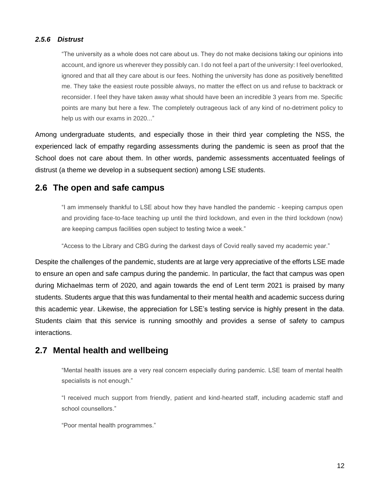#### *2.5.6 Distrust*

"The university as a whole does not care about us. They do not make decisions taking our opinions into account, and ignore us wherever they possibly can. I do not feel a part of the university: I feel overlooked, ignored and that all they care about is our fees. Nothing the university has done as positively benefitted me. They take the easiest route possible always, no matter the effect on us and refuse to backtrack or reconsider. I feel they have taken away what should have been an incredible 3 years from me. Specific points are many but here a few. The completely outrageous lack of any kind of no-detriment policy to help us with our exams in 2020..."

Among undergraduate students, and especially those in their third year completing the NSS, the experienced lack of empathy regarding assessments during the pandemic is seen as proof that the School does not care about them. In other words, pandemic assessments accentuated feelings of distrust (a theme we develop in a subsequent section) among LSE students.

### <span id="page-11-0"></span>**2.6 The open and safe campus**

"I am immensely thankful to LSE about how they have handled the pandemic - keeping campus open and providing face-to-face teaching up until the third lockdown, and even in the third lockdown (now) are keeping campus facilities open subject to testing twice a week."

"Access to the Library and CBG during the darkest days of Covid really saved my academic year."

Despite the challenges of the pandemic, students are at large very appreciative of the efforts LSE made to ensure an open and safe campus during the pandemic. In particular, the fact that campus was open during Michaelmas term of 2020, and again towards the end of Lent term 2021 is praised by many students. Students argue that this was fundamental to their mental health and academic success during this academic year. Likewise, the appreciation for LSE's testing service is highly present in the data. Students claim that this service is running smoothly and provides a sense of safety to campus interactions.

## <span id="page-11-1"></span>**2.7 Mental health and wellbeing**

"Mental health issues are a very real concern especially during pandemic. LSE team of mental health specialists is not enough."

"I received much support from friendly, patient and kind-hearted staff, including academic staff and school counsellors."

"Poor mental health programmes."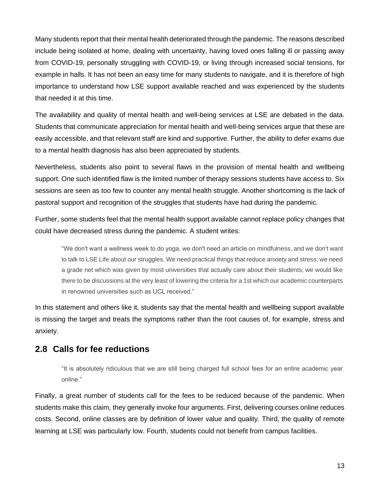Many students report that their mental health deteriorated through the pandemic. The reasons described include being isolated at home, dealing with uncertainty, having loved ones falling ill or passing away from COVID-19, personally struggling with COVID-19, or living through increased social tensions, for example in halls. It has not been an easy time for many students to navigate, and it is therefore of high importance to understand how LSE support available reached and was experienced by the students that needed it at this time.

The availability and quality of mental health and well-being services at LSE are debated in the data. Students that communicate appreciation for mental health and well-being services argue that these are easily accessible, and that relevant staff are kind and supportive. Further, the ability to defer exams due to a mental health diagnosis has also been appreciated by students.

Nevertheless, students also point to several flaws in the provision of mental health and wellbeing support. One such identified flaw is the limited number of therapy sessions students have access to. Six sessions are seen as too few to counter any mental health struggle. Another shortcoming is the lack of pastoral support and recognition of the struggles that students have had during the pandemic.

Further, some students feel that the mental health support available cannot replace policy changes that could have decreased stress during the pandemic. A student writes:

"We don't want a wellness week to do yoga, we don't need an article on mindfulness, and we don't want to talk to LSE Life about our struggles. We need practical things that reduce anxiety and stress; we need a grade net which was given by most universities that actually care about their students; we would like there to be discussions at the very least of lowering the criteria for a 1st which our academic counterparts in renowned universities such as UCL received."

In this statement and others like it, students say that the mental health and wellbeing support available is missing the target and treats the symptoms rather than the root causes of, for example, stress and anxiety.

## <span id="page-12-0"></span>**2.8 Calls for fee reductions**

"It is absolutely ridiculous that we are still being charged full school fees for an entire academic year online."

Finally, a great number of students call for the fees to be reduced because of the pandemic. When students make this claim, they generally invoke four arguments. First, delivering courses online reduces costs. Second, online classes are by definition of lower value and quality. Third, the quality of remote learning at LSE was particularly low. Fourth, students could not benefit from campus facilities.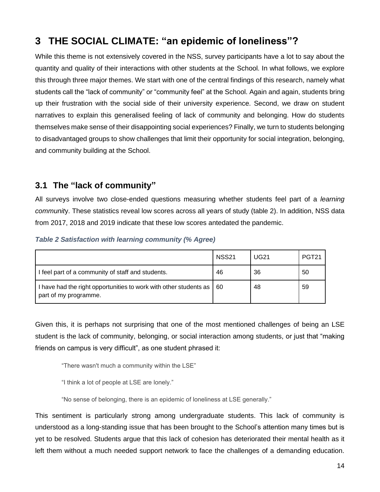## <span id="page-13-0"></span>**3 THE SOCIAL CLIMATE: "an epidemic of loneliness"?**

While this theme is not extensively covered in the NSS, survey participants have a lot to say about the quantity and quality of their interactions with other students at the School. In what follows, we explore this through three major themes. We start with one of the central findings of this research, namely what students call the "lack of community" or "community feel" at the School. Again and again, students bring up their frustration with the social side of their university experience. Second, we draw on student narratives to explain this generalised feeling of lack of community and belonging. How do students themselves make sense of their disappointing social experiences? Finally, we turn to students belonging to disadvantaged groups to show challenges that limit their opportunity for social integration, belonging, and community building at the School.

## <span id="page-13-1"></span>**3.1 The "lack of community"**

All surveys involve two close-ended questions measuring whether students feel part of a *learning communit*y. These statistics reveal low scores across all years of study (table 2). In addition, NSS data from 2017, 2018 and 2019 indicate that these low scores antedated the pandemic.

|                                                                                                 | <b>NSS21</b> | <b>UG21</b> | PGT <sub>21</sub> |
|-------------------------------------------------------------------------------------------------|--------------|-------------|-------------------|
| I feel part of a community of staff and students.                                               | 46           | 36          | 50                |
| I have had the right opportunities to work with other students as   60<br>part of my programme. |              | 48          | 59                |

#### *Table 2 Satisfaction with learning community (% Agree)*

Given this, it is perhaps not surprising that one of the most mentioned challenges of being an LSE student is the lack of community, belonging, or social interaction among students, or just that "making friends on campus is very difficult", as one student phrased it:

"There wasn't much a community within the LSE"

"I think a lot of people at LSE are lonely."

"No sense of belonging, there is an epidemic of loneliness at LSE generally."

This sentiment is particularly strong among undergraduate students. This lack of community is understood as a long-standing issue that has been brought to the School's attention many times but is yet to be resolved. Students argue that this lack of cohesion has deteriorated their mental health as it left them without a much needed support network to face the challenges of a demanding education.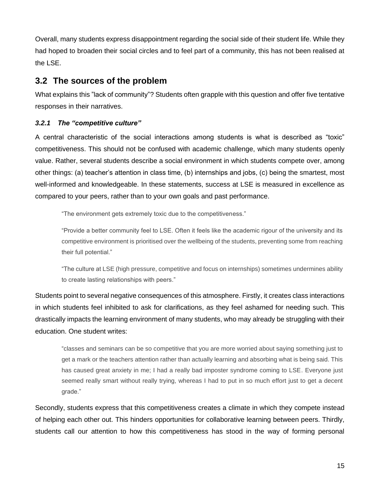Overall, many students express disappointment regarding the social side of their student life. While they had hoped to broaden their social circles and to feel part of a community, this has not been realised at the LSE.

## <span id="page-14-0"></span>**3.2 The sources of the problem**

What explains this "lack of community"? Students often grapple with this question and offer five tentative responses in their narratives.

#### *3.2.1 The "competitive culture"*

A central characteristic of the social interactions among students is what is described as "toxic" competitiveness. This should not be confused with academic challenge, which many students openly value. Rather, several students describe a social environment in which students compete over, among other things: (a) teacher's attention in class time, (b) internships and jobs, (c) being the smartest, most well-informed and knowledgeable. In these statements, success at LSE is measured in excellence as compared to your peers, rather than to your own goals and past performance.

"The environment gets extremely toxic due to the competitiveness."

"Provide a better community feel to LSE. Often it feels like the academic rigour of the university and its competitive environment is prioritised over the wellbeing of the students, preventing some from reaching their full potential."

"The culture at LSE (high pressure, competitive and focus on internships) sometimes undermines ability to create lasting relationships with peers."

Students point to several negative consequences of this atmosphere. Firstly, it creates class interactions in which students feel inhibited to ask for clarifications, as they feel ashamed for needing such. This drastically impacts the learning environment of many students, who may already be struggling with their education. One student writes:

"classes and seminars can be so competitive that you are more worried about saying something just to get a mark or the teachers attention rather than actually learning and absorbing what is being said. This has caused great anxiety in me; I had a really bad imposter syndrome coming to LSE. Everyone just seemed really smart without really trying, whereas I had to put in so much effort just to get a decent grade."

Secondly, students express that this competitiveness creates a climate in which they compete instead of helping each other out. This hinders opportunities for collaborative learning between peers. Thirdly, students call our attention to how this competitiveness has stood in the way of forming personal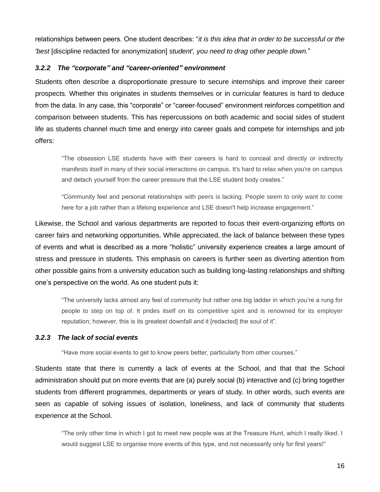relationships between peers. One student describes: "*it is this idea that in order to be successful or the 'best* [discipline redacted for anonymization] *student', you need to drag other people down.*"

#### *3.2.2 The "corporate" and "career-oriented" environment*

Students often describe a disproportionate pressure to secure internships and improve their career prospects. Whether this originates in students themselves or in curricular features is hard to deduce from the data. In any case, this "corporate" or "career-focused" environment reinforces competition and comparison between students. This has repercussions on both academic and social sides of student life as students channel much time and energy into career goals and compete for internships and job offers:

"The obsession LSE students have with their careers is hard to conceal and directly or indirectly manifests itself in many of their social interactions on campus. It's hard to relax when you're on campus and detach yourself from the career pressure that the LSE student body creates."

"Community feel and personal relationships with peers is lacking. People seem to only want to come here for a job rather than a lifelong experience and LSE doesn't help increase engagement."

Likewise, the School and various departments are reported to focus their event-organizing efforts on career fairs and networking opportunities. While appreciated, the lack of balance between these types of events and what is described as a more "holistic" university experience creates a large amount of stress and pressure in students. This emphasis on careers is further seen as diverting attention from other possible gains from a university education such as building long-lasting relationships and shifting one's perspective on the world. As one student puts it:

"The university lacks almost any feel of community but rather one big ladder in which you're a rung for people to step on top of. It prides itself on its competitive spirit and is renowned for its employer reputation; however, this is its greatest downfall and it [redacted] the soul of it".

#### *3.2.3 The lack of social events*

"Have more social events to get to know peers better, particularly from other courses."

Students state that there is currently a lack of events at the School, and that that the School administration should put on more events that are (a) purely social (b) interactive and (c) bring together students from different programmes, departments or years of study. In other words, such events are seen as capable of solving issues of isolation, loneliness, and lack of community that students experience at the School.

"The only other time in which I got to meet new people was at the Treasure Hunt, which I really liked. I would suggest LSE to organise more events of this type, and not necessarily only for first years!"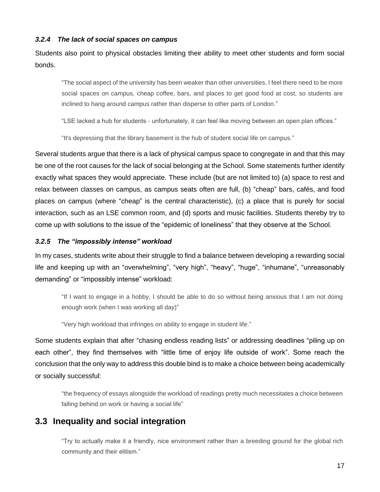#### *3.2.4 The lack of social spaces on campus*

Students also point to physical obstacles limiting their ability to meet other students and form social bonds.

"The social aspect of the university has been weaker than other universities. I feel there need to be more social spaces on campus, cheap coffee, bars, and places to get good food at cost, so students are inclined to hang around campus rather than disperse to other parts of London."

"LSE lacked a hub for students - unfortunately, it can feel like moving between an open plan offices."

"It's depressing that the library basement is the hub of student social life on campus."

Several students argue that there is a lack of physical campus space to congregate in and that this may be one of the root causes for the lack of social belonging at the School. Some statements further identify exactly what spaces they would appreciate. These include (but are not limited to) (a) space to rest and relax between classes on campus, as campus seats often are full, (b) "cheap" bars, cafés, and food places on campus (where "cheap" is the central characteristic), (c) a place that is purely for social interaction, such as an LSE common room, and (d) sports and music facilities. Students thereby try to come up with solutions to the issue of the "epidemic of loneliness" that they observe at the School.

#### *3.2.5 The "impossibly intense" workload*

In my cases, students write about their struggle to find a balance between developing a rewarding social life and keeping up with an "overwhelming", "very high", "heavy", "huge", "inhumane", "unreasonably demanding" or "impossibly intense" workload:

"If I want to engage in a hobby, I should be able to do so without being anxious that I am not doing enough work (when I was working all day)"

"Very high workload that infringes on ability to engage in student life."

Some students explain that after "chasing endless reading lists" or addressing deadlines "piling up on each other", they find themselves with "little time of enjoy life outside of work". Some reach the conclusion that the only way to address this double bind is to make a choice between being academically or socially successful:

"the frequency of essays alongside the workload of readings pretty much necessitates a choice between falling behind on work or having a social life"

## <span id="page-16-0"></span>**3.3 Inequality and social integration**

"Try to actually make it a friendly, nice environment rather than a breeding ground for the global rich community and their elitism."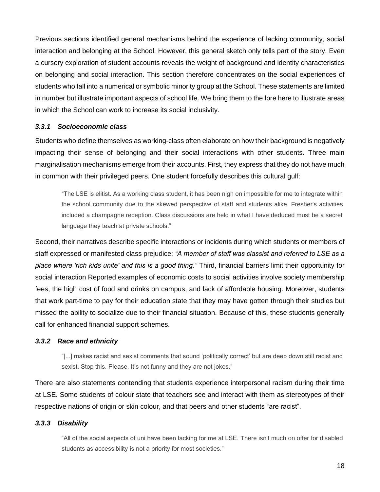Previous sections identified general mechanisms behind the experience of lacking community, social interaction and belonging at the School. However, this general sketch only tells part of the story. Even a cursory exploration of student accounts reveals the weight of background and identity characteristics on belonging and social interaction. This section therefore concentrates on the social experiences of students who fall into a numerical or symbolic minority group at the School. These statements are limited in number but illustrate important aspects of school life. We bring them to the fore here to illustrate areas in which the School can work to increase its social inclusivity.

#### *3.3.1 Socioeconomic class*

Students who define themselves as working-class often elaborate on how their background is negatively impacting their sense of belonging and their social interactions with other students. Three main marginalisation mechanisms emerge from their accounts. First, they express that they do not have much in common with their privileged peers. One student forcefully describes this cultural gulf:

"The LSE is elitist. As a working class student, it has been nigh on impossible for me to integrate within the school community due to the skewed perspective of staff and students alike. Fresher's activities included a champagne reception. Class discussions are held in what I have deduced must be a secret language they teach at private schools."

Second, their narratives describe specific interactions or incidents during which students or members of staff expressed or manifested class prejudice: *"A member of staff was classist and referred to LSE as a place where 'rich kids unite' and this is a good thing."* Third, financial barriers limit their opportunity for social interaction Reported examples of economic costs to social activities involve society membership fees, the high cost of food and drinks on campus, and lack of affordable housing. Moreover, students that work part-time to pay for their education state that they may have gotten through their studies but missed the ability to socialize due to their financial situation. Because of this, these students generally call for enhanced financial support schemes.

#### *3.3.2 Race and ethnicity*

"[...] makes racist and sexist comments that sound 'politically correct' but are deep down still racist and sexist. Stop this. Please. It's not funny and they are not jokes."

There are also statements contending that students experience interpersonal racism during their time at LSE. Some students of colour state that teachers see and interact with them as stereotypes of their respective nations of origin or skin colour, and that peers and other students "are racist".

#### *3.3.3 Disability*

"All of the social aspects of uni have been lacking for me at LSE. There isn't much on offer for disabled students as accessibility is not a priority for most societies."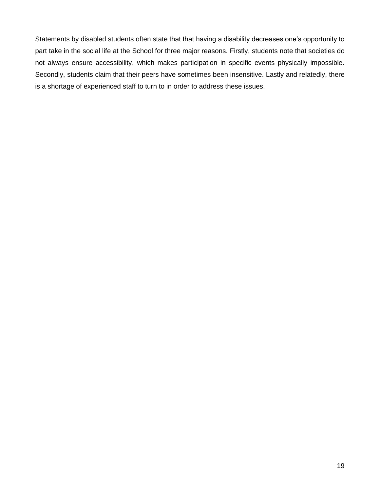Statements by disabled students often state that that having a disability decreases one's opportunity to part take in the social life at the School for three major reasons. Firstly, students note that societies do not always ensure accessibility, which makes participation in specific events physically impossible. Secondly, students claim that their peers have sometimes been insensitive. Lastly and relatedly, there is a shortage of experienced staff to turn to in order to address these issues.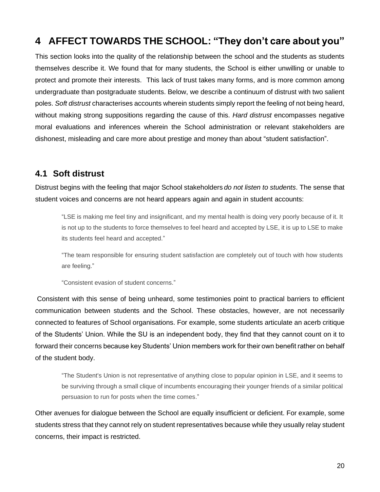## <span id="page-19-0"></span>**4 AFFECT TOWARDS THE SCHOOL: "They don't care about you"**

This section looks into the quality of the relationship between the school and the students as students themselves describe it. We found that for many students, the School is either unwilling or unable to protect and promote their interests. This lack of trust takes many forms, and is more common among undergraduate than postgraduate students. Below, we describe a continuum of distrust with two salient poles. *Soft distrust* characterises accounts wherein students simply report the feeling of not being heard, without making strong suppositions regarding the cause of this. *Hard distrust* encompasses negative moral evaluations and inferences wherein the School administration or relevant stakeholders are dishonest, misleading and care more about prestige and money than about "student satisfaction".

## <span id="page-19-1"></span>**4.1 Soft distrust**

Distrust begins with the feeling that major School stakeholders *do not listen to students*. The sense that student voices and concerns are not heard appears again and again in student accounts:

"LSE is making me feel tiny and insignificant, and my mental health is doing very poorly because of it. It is not up to the students to force themselves to feel heard and accepted by LSE, it is up to LSE to make its students feel heard and accepted."

"The team responsible for ensuring student satisfaction are completely out of touch with how students are feeling."

"Consistent evasion of student concerns."

Consistent with this sense of being unheard, some testimonies point to practical barriers to efficient communication between students and the School. These obstacles, however, are not necessarily connected to features of School organisations. For example, some students articulate an acerb critique of the Students' Union. While the SU is an independent body, they find that they cannot count on it to forward their concerns because key Students' Union members work for their own benefit rather on behalf of the student body.

"The Student's Union is not representative of anything close to popular opinion in LSE, and it seems to be surviving through a small clique of incumbents encouraging their younger friends of a similar political persuasion to run for posts when the time comes."

Other avenues for dialogue between the School are equally insufficient or deficient. For example, some students stress that they cannot rely on student representatives because while they usually relay student concerns, their impact is restricted.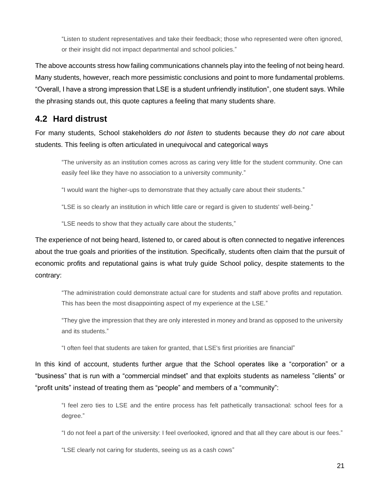"Listen to student representatives and take their feedback; those who represented were often ignored, or their insight did not impact departmental and school policies."

The above accounts stress how failing communications channels play into the feeling of not being heard. Many students, however, reach more pessimistic conclusions and point to more fundamental problems. "Overall, I have a strong impression that LSE is a student unfriendly institution", one student says. While the phrasing stands out, this quote captures a feeling that many students share.

## <span id="page-20-0"></span>**4.2 Hard distrust**

For many students, School stakeholders *do not listen* to students because they *do not care* about students. This feeling is often articulated in unequivocal and categorical ways

"The university as an institution comes across as caring very little for the student community. One can easily feel like they have no association to a university community."

"I would want the higher-ups to demonstrate that they actually care about their students."

"LSE is so clearly an institution in which little care or regard is given to students' well-being."

"LSE needs to show that they actually care about the students,"

The experience of not being heard, listened to, or cared about is often connected to negative inferences about the true goals and priorities of the institution. Specifically, students often claim that the pursuit of economic profits and reputational gains is what truly guide School policy, despite statements to the contrary:

"The administration could demonstrate actual care for students and staff above profits and reputation. This has been the most disappointing aspect of my experience at the LSE."

"They give the impression that they are only interested in money and brand as opposed to the university and its students."

"I often feel that students are taken for granted, that LSE's first priorities are financial"

In this kind of account, students further argue that the School operates like a "corporation" or a "business" that is run with a "commercial mindset" and that exploits students as nameless "clients" or "profit units" instead of treating them as "people" and members of a "community":

"I feel zero ties to LSE and the entire process has felt pathetically transactional: school fees for a degree."

"I do not feel a part of the university: I feel overlooked, ignored and that all they care about is our fees."

"LSE clearly not caring for students, seeing us as a cash cows"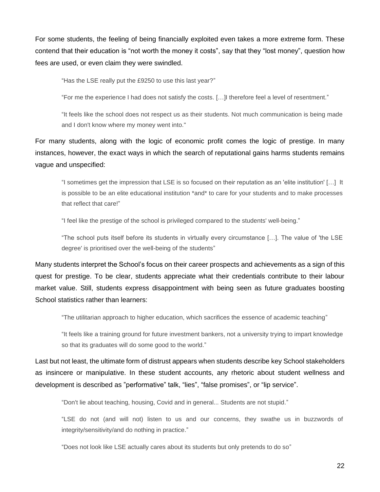For some students, the feeling of being financially exploited even takes a more extreme form. These contend that their education is "not worth the money it costs", say that they "lost money", question how fees are used, or even claim they were swindled.

"Has the LSE really put the £9250 to use this last year?"

"For me the experience I had does not satisfy the costs. […]I therefore feel a level of resentment."

"It feels like the school does not respect us as their students. Not much communication is being made and I don't know where my money went into."

For many students, along with the logic of economic profit comes the logic of prestige. In many instances, however, the exact ways in which the search of reputational gains harms students remains vague and unspecified:

"I sometimes get the impression that LSE is so focused on their reputation as an 'elite institution' […] It is possible to be an elite educational institution \*and\* to care for your students and to make processes that reflect that care!"

"I feel like the prestige of the school is privileged compared to the students' well-being."

"The school puts itself before its students in virtually every circumstance […]. The value of 'the LSE degree' is prioritised over the well-being of the students"

Many students interpret the School's focus on their career prospects and achievements as a sign of this quest for prestige. To be clear, students appreciate what their credentials contribute to their labour market value. Still, students express disappointment with being seen as future graduates boosting School statistics rather than learners:

"The utilitarian approach to higher education, which sacrifices the essence of academic teaching"

"It feels like a training ground for future investment bankers, not a university trying to impart knowledge so that its graduates will do some good to the world."

Last but not least, the ultimate form of distrust appears when students describe key School stakeholders as insincere or manipulative. In these student accounts, any rhetoric about student wellness and development is described as "performative" talk, "lies", "false promises", or "lip service".

"Don't lie about teaching, housing, Covid and in general... Students are not stupid."

"LSE do not (and will not) listen to us and our concerns, they swathe us in buzzwords of integrity/sensitivity/and do nothing in practice."

"Does not look like LSE actually cares about its students but only pretends to do so"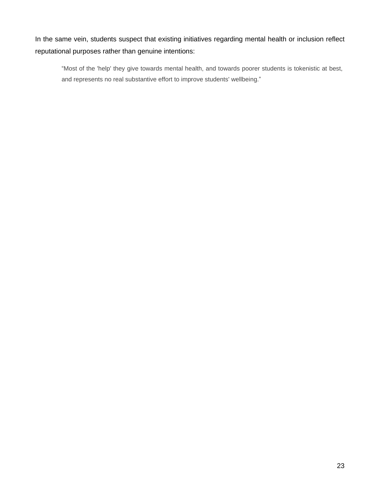In the same vein, students suspect that existing initiatives regarding mental health or inclusion reflect reputational purposes rather than genuine intentions:

"Most of the 'help' they give towards mental health, and towards poorer students is tokenistic at best, and represents no real substantive effort to improve students' wellbeing."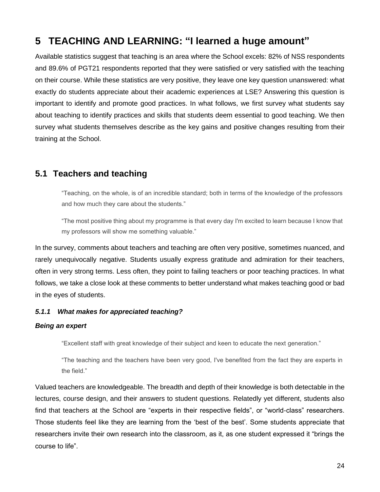## <span id="page-23-0"></span>**5 TEACHING AND LEARNING: "I learned a huge amount"**

Available statistics suggest that teaching is an area where the School excels: 82% of NSS respondents and 89.6% of PGT21 respondents reported that they were satisfied or very satisfied with the teaching on their course. While these statistics are very positive, they leave one key question unanswered: what exactly do students appreciate about their academic experiences at LSE? Answering this question is important to identify and promote good practices. In what follows, we first survey what students say about teaching to identify practices and skills that students deem essential to good teaching. We then survey what students themselves describe as the key gains and positive changes resulting from their training at the School.

## <span id="page-23-1"></span>**5.1 Teachers and teaching**

"Teaching, on the whole, is of an incredible standard; both in terms of the knowledge of the professors and how much they care about the students."

"The most positive thing about my programme is that every day I'm excited to learn because I know that my professors will show me something valuable."

In the survey, comments about teachers and teaching are often very positive, sometimes nuanced, and rarely unequivocally negative. Students usually express gratitude and admiration for their teachers, often in very strong terms. Less often, they point to failing teachers or poor teaching practices. In what follows, we take a close look at these comments to better understand what makes teaching good or bad in the eyes of students.

#### *5.1.1 What makes for appreciated teaching?*

#### *Being an expert*

"Excellent staff with great knowledge of their subject and keen to educate the next generation."

"The teaching and the teachers have been very good, I've benefited from the fact they are experts in the field."

Valued teachers are knowledgeable. The breadth and depth of their knowledge is both detectable in the lectures, course design, and their answers to student questions. Relatedly yet different, students also find that teachers at the School are "experts in their respective fields", or "world-class" researchers. Those students feel like they are learning from the 'best of the best'. Some students appreciate that researchers invite their own research into the classroom, as it, as one student expressed it "brings the course to life".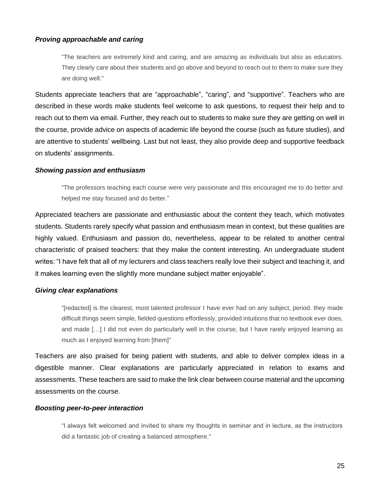#### *Proving approachable and caring*

"The teachers are extremely kind and caring, and are amazing as individuals but also as educators. They clearly care about their students and go above and beyond to reach out to them to make sure they are doing well."

Students appreciate teachers that are "approachable", "caring", and "supportive". Teachers who are described in these words make students feel welcome to ask questions, to request their help and to reach out to them via email. Further, they reach out to students to make sure they are getting on well in the course, provide advice on aspects of academic life beyond the course (such as future studies), and are attentive to students' wellbeing. Last but not least, they also provide deep and supportive feedback on students' assignments.

#### *Showing passion and enthusiasm*

"The professors teaching each course were very passionate and this encouraged me to do better and helped me stay focused and do better."

Appreciated teachers are passionate and enthusiastic about the content they teach, which motivates students. Students rarely specify what passion and enthusiasm mean in context, but these qualities are highly valued. Enthusiasm and passion do, nevertheless, appear to be related to another central characteristic of praised teachers: that they make the content interesting. An undergraduate student writes: "I have felt that all of my lecturers and class teachers really love their subject and teaching it, and it makes learning even the slightly more mundane subject matter enjoyable".

#### *Giving clear explanations*

"[redacted] is the clearest, most talented professor I have ever had on any subject, period. they made difficult things seem simple, fielded questions effortlessly, provided intuitions that no textbook ever does, and made […] I did not even do particularly well in the course, but I have rarely enjoyed learning as much as I enjoyed learning from [them]"

Teachers are also praised for being patient with students, and able to deliver complex ideas in a digestible manner. Clear explanations are particularly appreciated in relation to exams and assessments. These teachers are said to make the link clear between course material and the upcoming assessments on the course.

#### *Boosting peer-to-peer interaction*

"I always felt welcomed and invited to share my thoughts in seminar and in lecture, as the instructors did a fantastic job of creating a balanced atmosphere."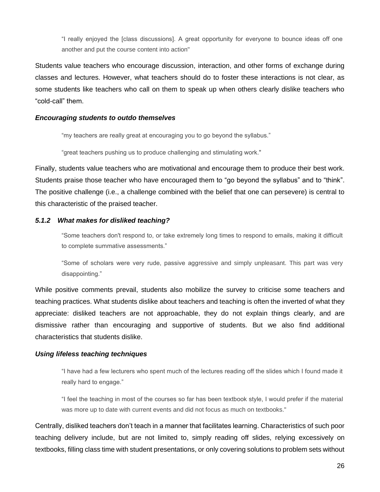"I really enjoyed the [class discussions]. A great opportunity for everyone to bounce ideas off one another and put the course content into action"

Students value teachers who encourage discussion, interaction, and other forms of exchange during classes and lectures. However, what teachers should do to foster these interactions is not clear, as some students like teachers who call on them to speak up when others clearly dislike teachers who "cold-call" them.

#### *Encouraging students to outdo themselves*

"my teachers are really great at encouraging you to go beyond the syllabus."

"great teachers pushing us to produce challenging and stimulating work."

Finally, students value teachers who are motivational and encourage them to produce their best work. Students praise those teacher who have encouraged them to "go beyond the syllabus" and to "think". The positive challenge (i.e., a challenge combined with the belief that one can persevere) is central to this characteristic of the praised teacher.

#### *5.1.2 What makes for disliked teaching?*

"Some teachers don't respond to, or take extremely long times to respond to emails, making it difficult to complete summative assessments."

"Some of scholars were very rude, passive aggressive and simply unpleasant. This part was very disappointing."

While positive comments prevail, students also mobilize the survey to criticise some teachers and teaching practices. What students dislike about teachers and teaching is often the inverted of what they appreciate: disliked teachers are not approachable, they do not explain things clearly, and are dismissive rather than encouraging and supportive of students. But we also find additional characteristics that students dislike.

#### *Using lifeless teaching techniques*

"I have had a few lecturers who spent much of the lectures reading off the slides which I found made it really hard to engage."

"I feel the teaching in most of the courses so far has been textbook style, I would prefer if the material was more up to date with current events and did not focus as much on textbooks."

Centrally, disliked teachers don't teach in a manner that facilitates learning. Characteristics of such poor teaching delivery include, but are not limited to, simply reading off slides, relying excessively on textbooks, filling class time with student presentations, or only covering solutions to problem sets without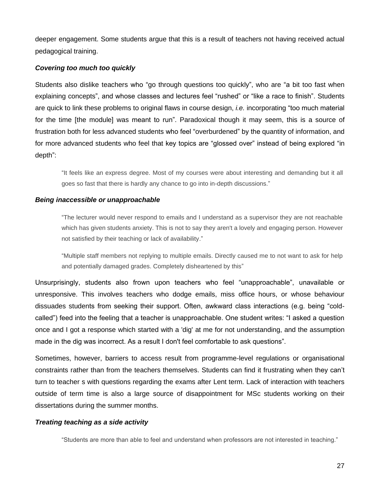deeper engagement. Some students argue that this is a result of teachers not having received actual pedagogical training.

#### *Covering too much too quickly*

Students also dislike teachers who "go through questions too quickly", who are "a bit too fast when explaining concepts", and whose classes and lectures feel "rushed" or "like a race to finish". Students are quick to link these problems to original flaws in course design, *i.e.* incorporating "too much material for the time [the module] was meant to run". Paradoxical though it may seem, this is a source of frustration both for less advanced students who feel "overburdened" by the quantity of information, and for more advanced students who feel that key topics are "glossed over" instead of being explored "in depth":

"It feels like an express degree. Most of my courses were about interesting and demanding but it all goes so fast that there is hardly any chance to go into in-depth discussions."

#### *Being inaccessible or unapproachable*

"The lecturer would never respond to emails and I understand as a supervisor they are not reachable which has given students anxiety. This is not to say they aren't a lovely and engaging person. However not satisfied by their teaching or lack of availability."

"Multiple staff members not replying to multiple emails. Directly caused me to not want to ask for help and potentially damaged grades. Completely disheartened by this"

Unsurprisingly, students also frown upon teachers who feel "unapproachable", unavailable or unresponsive. This involves teachers who dodge emails, miss office hours, or whose behaviour dissuades students from seeking their support. Often, awkward class interactions (e.g. being "coldcalled") feed into the feeling that a teacher is unapproachable. One student writes: "I asked a question once and I got a response which started with a 'dig' at me for not understanding, and the assumption made in the dig was incorrect. As a result I don't feel comfortable to ask questions".

Sometimes, however, barriers to access result from programme-level regulations or organisational constraints rather than from the teachers themselves. Students can find it frustrating when they can't turn to teacher s with questions regarding the exams after Lent term. Lack of interaction with teachers outside of term time is also a large source of disappointment for MSc students working on their dissertations during the summer months.

#### *Treating teaching as a side activity*

"Students are more than able to feel and understand when professors are not interested in teaching."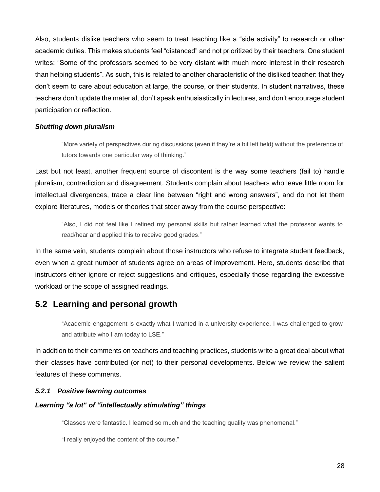Also, students dislike teachers who seem to treat teaching like a "side activity" to research or other academic duties. This makes students feel "distanced" and not prioritized by their teachers. One student writes: "Some of the professors seemed to be very distant with much more interest in their research than helping students". As such, this is related to another characteristic of the disliked teacher: that they don't seem to care about education at large, the course, or their students. In student narratives, these teachers don't update the material, don't speak enthusiastically in lectures, and don't encourage student participation or reflection.

#### *Shutting down pluralism*

"More variety of perspectives during discussions (even if they're a bit left field) without the preference of tutors towards one particular way of thinking."

Last but not least, another frequent source of discontent is the way some teachers (fail to) handle pluralism, contradiction and disagreement. Students complain about teachers who leave little room for intellectual divergences, trace a clear line between "right and wrong answers", and do not let them explore literatures, models or theories that steer away from the course perspective:

"Also, I did not feel like I refined my personal skills but rather learned what the professor wants to read/hear and applied this to receive good grades."

In the same vein, students complain about those instructors who refuse to integrate student feedback, even when a great number of students agree on areas of improvement. Here, students describe that instructors either ignore or reject suggestions and critiques, especially those regarding the excessive workload or the scope of assigned readings.

## <span id="page-27-0"></span>**5.2 Learning and personal growth**

"Academic engagement is exactly what I wanted in a university experience. I was challenged to grow and attribute who I am today to LSE."

In addition to their comments on teachers and teaching practices, students write a great deal about what their classes have contributed (or not) to their personal developments. Below we review the salient features of these comments.

#### *5.2.1 Positive learning outcomes*

#### *Learning "a lot" of "intellectually stimulating" things*

"Classes were fantastic. I learned so much and the teaching quality was phenomenal."

"I really enjoyed the content of the course."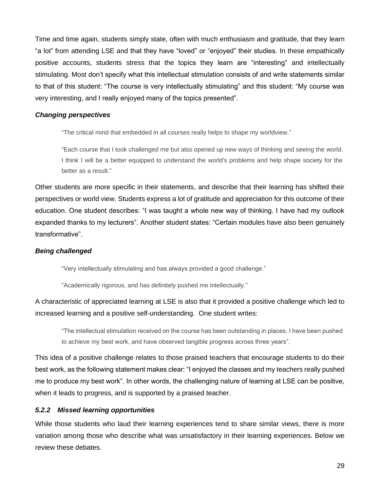Time and time again, students simply state, often with much enthusiasm and gratitude, that they learn "a lot" from attending LSE and that they have "loved" or "enjoyed" their studies. In these empathically positive accounts, students stress that the topics they learn are "interesting" and intellectually stimulating. Most don't specify what this intellectual stimulation consists of and write statements similar to that of this student: "The course is very intellectually stimulating" and this student: "My course was very interesting, and I really enjoyed many of the topics presented".

#### *Changing perspectives*

"The critical mind that embedded in all courses really helps to shape my worldview."

"Each course that I took challenged me but also opened up new ways of thinking and seeing the world. I think I will be a better equipped to understand the world's problems and help shape society for the better as a result."

Other students are more specific in their statements, and describe that their learning has shifted their perspectives or world view. Students express a lot of gratitude and appreciation for this outcome of their education. One student describes: "I was taught a whole new way of thinking. I have had my outlook expanded thanks to my lecturers". Another student states: "Certain modules have also been genuinely transformative".

#### *Being challenged*

"Very intellectually stimulating and has always provided a good challenge."

"Academically rigorous, and has definitely pushed me intellectually."

## A characteristic of appreciated learning at LSE is also that it provided a positive challenge which led to increased learning and a positive self-understanding. One student writes:

"The intellectual stimulation received on the course has been outstanding in places. I have been pushed to achieve my best work, and have observed tangible progress across three years".

This idea of a positive challenge relates to those praised teachers that encourage students to do their best work, as the following statement makes clear: "I enjoyed the classes and my teachers really pushed me to produce my best work". In other words, the challenging nature of learning at LSE can be positive, when it leads to progress, and is supported by a praised teacher.

#### *5.2.2 Missed learning opportunities*

While those students who laud their learning experiences tend to share similar views, there is more variation among those who describe what was unsatisfactory in their learning experiences. Below we review these debates.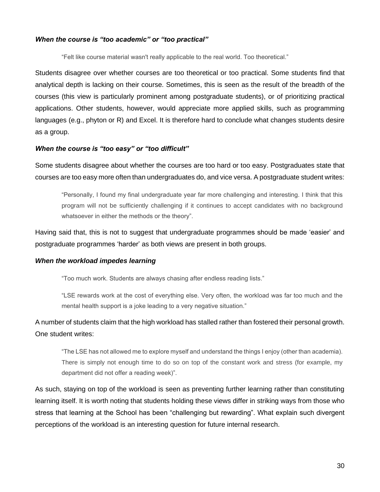#### *When the course is "too academic" or "too practical"*

"Felt like course material wasn't really applicable to the real world. Too theoretical."

Students disagree over whether courses are too theoretical or too practical. Some students find that analytical depth is lacking on their course. Sometimes, this is seen as the result of the breadth of the courses (this view is particularly prominent among postgraduate students), or of prioritizing practical applications. Other students, however, would appreciate more applied skills, such as programming languages (e.g., phyton or R) and Excel. It is therefore hard to conclude what changes students desire as a group.

#### *When the course is "too easy" or "too difficult"*

Some students disagree about whether the courses are too hard or too easy. Postgraduates state that courses are too easy more often than undergraduates do, and vice versa. A postgraduate student writes:

"Personally, I found my final undergraduate year far more challenging and interesting. I think that this program will not be sufficiently challenging if it continues to accept candidates with no background whatsoever in either the methods or the theory".

Having said that, this is not to suggest that undergraduate programmes should be made 'easier' and postgraduate programmes 'harder' as both views are present in both groups.

#### *When the workload impedes learning*

"Too much work. Students are always chasing after endless reading lists."

"LSE rewards work at the cost of everything else. Very often, the workload was far too much and the mental health support is a joke leading to a very negative situation."

## A number of students claim that the high workload has stalled rather than fostered their personal growth. One student writes:

"The LSE has not allowed me to explore myself and understand the things I enjoy (other than academia). There is simply not enough time to do so on top of the constant work and stress (for example, my department did not offer a reading week)".

As such, staying on top of the workload is seen as preventing further learning rather than constituting learning itself. It is worth noting that students holding these views differ in striking ways from those who stress that learning at the School has been "challenging but rewarding". What explain such divergent perceptions of the workload is an interesting question for future internal research.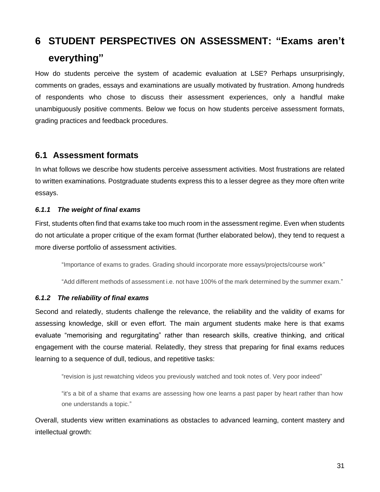## <span id="page-30-0"></span>**6 STUDENT PERSPECTIVES ON ASSESSMENT: "Exams aren't everything"**

How do students perceive the system of academic evaluation at LSE? Perhaps unsurprisingly, comments on grades, essays and examinations are usually motivated by frustration. Among hundreds of respondents who chose to discuss their assessment experiences, only a handful make unambiguously positive comments. Below we focus on how students perceive assessment formats, grading practices and feedback procedures.

### <span id="page-30-1"></span>**6.1 Assessment formats**

In what follows we describe how students perceive assessment activities. Most frustrations are related to written examinations. Postgraduate students express this to a lesser degree as they more often write essays.

#### *6.1.1 The weight of final exams*

First, students often find that exams take too much room in the assessment regime. Even when students do not articulate a proper critique of the exam format (further elaborated below), they tend to request a more diverse portfolio of assessment activities.

"Importance of exams to grades. Grading should incorporate more essays/projects/course work"

"Add different methods of assessment i.e. not have 100% of the mark determined by the summer exam."

#### *6.1.2 The reliability of final exams*

Second and relatedly, students challenge the relevance, the reliability and the validity of exams for assessing knowledge, skill or even effort. The main argument students make here is that exams evaluate "memorising and regurgitating" rather than research skills, creative thinking, and critical engagement with the course material. Relatedly, they stress that preparing for final exams reduces learning to a sequence of dull, tedious, and repetitive tasks:

"revision is just rewatching videos you previously watched and took notes of. Very poor indeed"

"it's a bit of a shame that exams are assessing how one learns a past paper by heart rather than how one understands a topic."

Overall, students view written examinations as obstacles to advanced learning, content mastery and intellectual growth: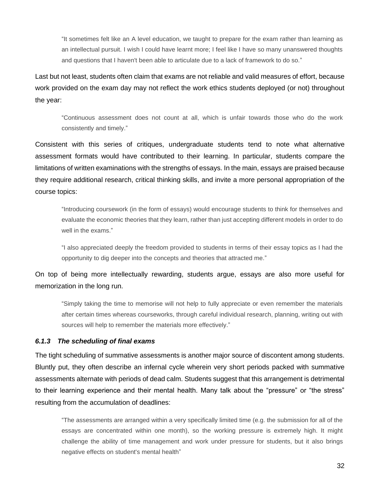"It sometimes felt like an A level education, we taught to prepare for the exam rather than learning as an intellectual pursuit. I wish I could have learnt more; I feel like I have so many unanswered thoughts and questions that I haven't been able to articulate due to a lack of framework to do so."

Last but not least, students often claim that exams are not reliable and valid measures of effort, because work provided on the exam day may not reflect the work ethics students deployed (or not) throughout the year:

"Continuous assessment does not count at all, which is unfair towards those who do the work consistently and timely."

Consistent with this series of critiques, undergraduate students tend to note what alternative assessment formats would have contributed to their learning. In particular, students compare the limitations of written examinations with the strengths of essays. In the main, essays are praised because they require additional research, critical thinking skills, and invite a more personal appropriation of the course topics:

"Introducing coursework (in the form of essays) would encourage students to think for themselves and evaluate the economic theories that they learn, rather than just accepting different models in order to do well in the exams."

"I also appreciated deeply the freedom provided to students in terms of their essay topics as I had the opportunity to dig deeper into the concepts and theories that attracted me."

On top of being more intellectually rewarding, students argue, essays are also more useful for memorization in the long run.

"Simply taking the time to memorise will not help to fully appreciate or even remember the materials after certain times whereas courseworks, through careful individual research, planning, writing out with sources will help to remember the materials more effectively."

#### *6.1.3 The scheduling of final exams*

The tight scheduling of summative assessments is another major source of discontent among students. Bluntly put, they often describe an infernal cycle wherein very short periods packed with summative assessments alternate with periods of dead calm. Students suggest that this arrangement is detrimental to their learning experience and their mental health. Many talk about the "pressure" or "the stress" resulting from the accumulation of deadlines:

"The assessments are arranged within a very specifically limited time (e.g. the submission for all of the essays are concentrated within one month), so the working pressure is extremely high. It might challenge the ability of time management and work under pressure for students, but it also brings negative effects on student's mental health"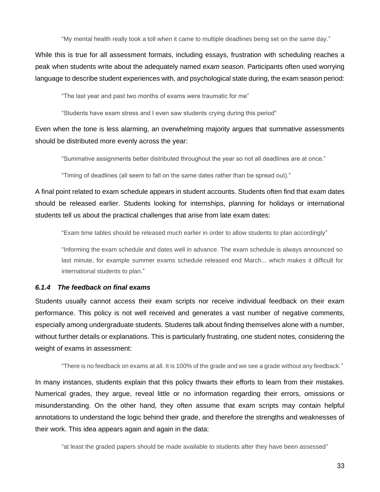"My mental health really took a toll when it came to multiple deadlines being set on the same day."

While this is true for all assessment formats, including essays, frustration with scheduling reaches a peak when students write about the adequately named *exam season*. Participants often used worrying language to describe student experiences with, and psychological state during, the exam season period:

"The last year and past two months of exams were traumatic for me"

"Students have exam stress and I even saw students crying during this period"

Even when the tone is less alarming, an overwhelming majority argues that summative assessments should be distributed more evenly across the year:

"Summative assignments better distributed throughout the year so not all deadlines are at once."

"Timing of deadlines (all seem to fall on the same dates rather than be spread out)."

A final point related to exam schedule appears in student accounts. Students often find that exam dates should be released earlier. Students looking for internships, planning for holidays or international students tell us about the practical challenges that arise from late exam dates:

"Exam time tables should be released much earlier in order to allow students to plan accordingly"

"Informing the exam schedule and dates well in advance. The exam schedule is always announced so last minute, for example summer exams schedule released end March... which makes it difficult for international students to plan."

#### *6.1.4 The feedback on final exams*

Students usually cannot access their exam scripts nor receive individual feedback on their exam performance. This policy is not well received and generates a vast number of negative comments, especially among undergraduate students. Students talk about finding themselves alone with a number, without further details or explanations. This is particularly frustrating, one student notes, considering the weight of exams in assessment:

"There is no feedback on exams at all. It is 100% of the grade and we see a grade without any feedback."

In many instances, students explain that this policy thwarts their efforts to learn from their mistakes. Numerical grades, they argue, reveal little or no information regarding their errors, omissions or misunderstanding. On the other hand, they often assume that exam scripts may contain helpful annotations to understand the logic behind their grade, and therefore the strengths and weaknesses of their work. This idea appears again and again in the data:

"at least the graded papers should be made available to students after they have been assessed"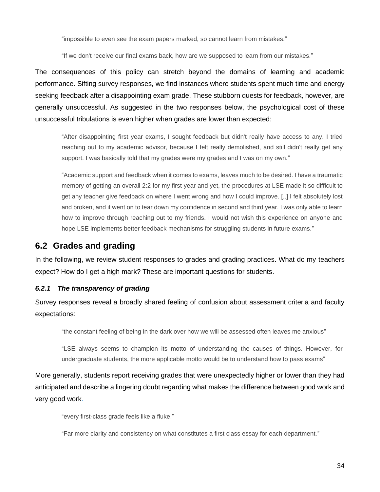"impossible to even see the exam papers marked, so cannot learn from mistakes."

"If we don't receive our final exams back, how are we supposed to learn from our mistakes."

The consequences of this policy can stretch beyond the domains of learning and academic performance. Sifting survey responses, we find instances where students spent much time and energy seeking feedback after a disappointing exam grade. These stubborn quests for feedback, however, are generally unsuccessful. As suggested in the two responses below, the psychological cost of these unsuccessful tribulations is even higher when grades are lower than expected:

"After disappointing first year exams, I sought feedback but didn't really have access to any. I tried reaching out to my academic advisor, because I felt really demolished, and still didn't really get any support. I was basically told that my grades were my grades and I was on my own."

"Academic support and feedback when it comes to exams, leaves much to be desired. I have a traumatic memory of getting an overall 2:2 for my first year and yet, the procedures at LSE made it so difficult to get any teacher give feedback on where I went wrong and how I could improve. [..] I felt absolutely lost and broken, and it went on to tear down my confidence in second and third year. I was only able to learn how to improve through reaching out to my friends. I would not wish this experience on anyone and hope LSE implements better feedback mechanisms for struggling students in future exams."

## <span id="page-33-0"></span>**6.2 Grades and grading**

In the following, we review student responses to grades and grading practices. What do my teachers expect? How do I get a high mark? These are important questions for students.

#### *6.2.1 The transparency of grading*

Survey responses reveal a broadly shared feeling of confusion about assessment criteria and faculty expectations:

"the constant feeling of being in the dark over how we will be assessed often leaves me anxious"

"LSE always seems to champion its motto of understanding the causes of things. However, for undergraduate students, the more applicable motto would be to understand how to pass exams"

More generally, students report receiving grades that were unexpectedly higher or lower than they had anticipated and describe a lingering doubt regarding what makes the difference between good work and very good work.

"every first-class grade feels like a fluke."

"Far more clarity and consistency on what constitutes a first class essay for each department."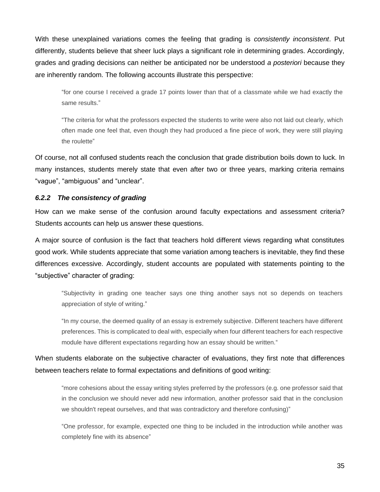With these unexplained variations comes the feeling that grading is *consistently inconsistent*. Put differently, students believe that sheer luck plays a significant role in determining grades. Accordingly, grades and grading decisions can neither be anticipated nor be understood *a posteriori* because they are inherently random. The following accounts illustrate this perspective:

"for one course I received a grade 17 points lower than that of a classmate while we had exactly the same results."

"The criteria for what the professors expected the students to write were also not laid out clearly, which often made one feel that, even though they had produced a fine piece of work, they were still playing the roulette"

Of course, not all confused students reach the conclusion that grade distribution boils down to luck. In many instances, students merely state that even after two or three years, marking criteria remains "vague", "ambiguous" and "unclear".

#### *6.2.2 The consistency of grading*

How can we make sense of the confusion around faculty expectations and assessment criteria? Students accounts can help us answer these questions.

A major source of confusion is the fact that teachers hold different views regarding what constitutes good work. While students appreciate that some variation among teachers is inevitable, they find these differences excessive. Accordingly, student accounts are populated with statements pointing to the "subjective" character of grading:

"Subjectivity in grading one teacher says one thing another says not so depends on teachers appreciation of style of writing."

"In my course, the deemed quality of an essay is extremely subjective. Different teachers have different preferences. This is complicated to deal with, especially when four different teachers for each respective module have different expectations regarding how an essay should be written."

When students elaborate on the subjective character of evaluations, they first note that differences between teachers relate to formal expectations and definitions of good writing:

"more cohesions about the essay writing styles preferred by the professors (e.g. one professor said that in the conclusion we should never add new information, another professor said that in the conclusion we shouldn't repeat ourselves, and that was contradictory and therefore confusing)"

"One professor, for example, expected one thing to be included in the introduction while another was completely fine with its absence"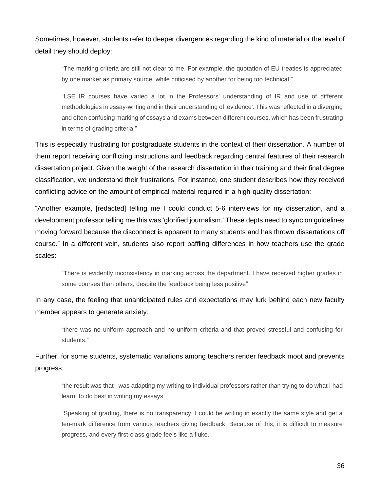Sometimes, however, students refer to deeper divergences regarding the kind of material or the level of detail they should deploy:

"The marking criteria are still not clear to me. For example, the quotation of EU treaties is appreciated by one marker as primary source, while criticised by another for being too technical."

"LSE IR courses have varied a lot in the Professors' understanding of IR and use of different methodologies in essay-writing and in their understanding of 'evidence'. This was reflected in a diverging and often confusing marking of essays and exams between different courses, which has been frustrating in terms of grading criteria."

This is especially frustrating for postgraduate students in the context of their dissertation. A number of them report receiving conflicting instructions and feedback regarding central features of their research dissertation project. Given the weight of the research dissertation in their training and their final degree classification, we understand their frustrations. For instance, one student describes how they received conflicting advice on the amount of empirical material required in a high-quality dissertation:

"Another example, [redacted] telling me I could conduct 5-6 interviews for my dissertation, and a development professor telling me this was 'glorified journalism.' These depts need to sync on guidelines moving forward because the disconnect is apparent to many students and has thrown dissertations off course." In a different vein, students also report baffling differences in how teachers use the grade scales:

"There is evidently inconsistency in marking across the department. I have received higher grades in some courses than others, despite the feedback being less positive"

In any case, the feeling that unanticipated rules and expectations may lurk behind each new faculty member appears to generate anxiety:

"there was no uniform approach and no uniform criteria and that proved stressful and confusing for students."

Further, for some students, systematic variations among teachers render feedback moot and prevents progress:

"the result was that I was adapting my writing to individual professors rather than trying to do what I had learnt to do best in writing my essays"

"Speaking of grading, there is no transparency. I could be writing in exactly the same style and get a ten-mark difference from various teachers giving feedback. Because of this, it is difficult to measure progress, and every first-class grade feels like a fluke."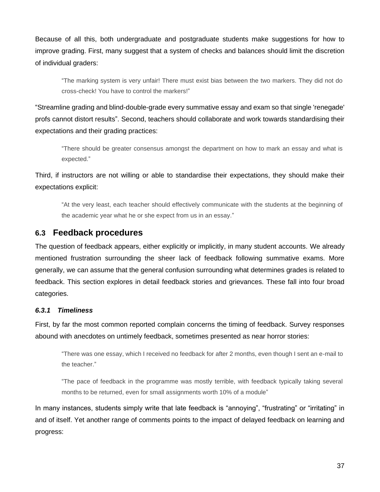Because of all this, both undergraduate and postgraduate students make suggestions for how to improve grading. First, many suggest that a system of checks and balances should limit the discretion of individual graders:

"The marking system is very unfair! There must exist bias between the two markers. They did not do cross-check! You have to control the markers!"

"Streamline grading and blind-double-grade every summative essay and exam so that single 'renegade' profs cannot distort results". Second, teachers should collaborate and work towards standardising their expectations and their grading practices:

"There should be greater consensus amongst the department on how to mark an essay and what is expected."

Third, if instructors are not willing or able to standardise their expectations, they should make their expectations explicit:

"At the very least, each teacher should effectively communicate with the students at the beginning of the academic year what he or she expect from us in an essay."

### <span id="page-36-0"></span>**6.3 Feedback procedures**

The question of feedback appears, either explicitly or implicitly, in many student accounts. We already mentioned frustration surrounding the sheer lack of feedback following summative exams. More generally, we can assume that the general confusion surrounding what determines grades is related to feedback. This section explores in detail feedback stories and grievances. These fall into four broad categories.

#### *6.3.1 Timeliness*

First, by far the most common reported complain concerns the timing of feedback. Survey responses abound with anecdotes on untimely feedback, sometimes presented as near horror stories:

"There was one essay, which I received no feedback for after 2 months, even though I sent an e-mail to the teacher."

"The pace of feedback in the programme was mostly terrible, with feedback typically taking several months to be returned, even for small assignments worth 10% of a module"

In many instances, students simply write that late feedback is "annoying", "frustrating" or "irritating" in and of itself. Yet another range of comments points to the impact of delayed feedback on learning and progress: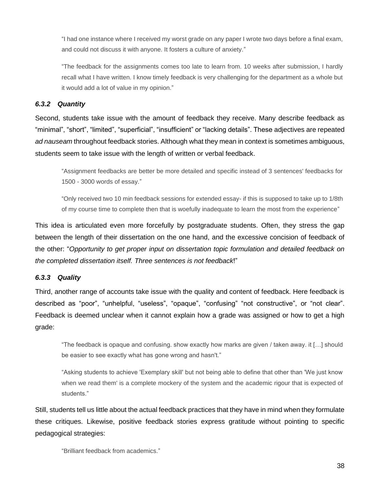"I had one instance where I received my worst grade on any paper I wrote two days before a final exam, and could not discuss it with anyone. It fosters a culture of anxiety."

"The feedback for the assignments comes too late to learn from. 10 weeks after submission, I hardly recall what I have written. I know timely feedback is very challenging for the department as a whole but it would add a lot of value in my opinion."

#### *6.3.2 Quantity*

Second, students take issue with the amount of feedback they receive. Many describe feedback as "minimal", "short", "limited", "superficial", "insufficient" or "lacking details". These adjectives are repeated *ad nauseam* throughout feedback stories. Although what they mean in context is sometimes ambiguous, students seem to take issue with the length of written or verbal feedback.

"Assignment feedbacks are better be more detailed and specific instead of 3 sentences' feedbacks for 1500 - 3000 words of essay."

"Only received two 10 min feedback sessions for extended essay- if this is supposed to take up to 1/8th of my course time to complete then that is woefully inadequate to learn the most from the experience"

This idea is articulated even more forcefully by postgraduate students. Often, they stress the gap between the length of their dissertation on the one hand, and the excessive concision of feedback of the other: "*Opportunity to get proper input on dissertation topic formulation and detailed feedback on the completed dissertation itself. Three sentences is not feedback*!"

#### *6.3.3 Quality*

Third, another range of accounts take issue with the quality and content of feedback. Here feedback is described as "poor", "unhelpful, "useless", "opaque", "confusing" "not constructive", or "not clear". Feedback is deemed unclear when it cannot explain how a grade was assigned or how to get a high grade:

"The feedback is opaque and confusing. show exactly how marks are given / taken away. it […] should be easier to see exactly what has gone wrong and hasn't."

"Asking students to achieve 'Exemplary skill' but not being able to define that other than 'We just know when we read them' is a complete mockery of the system and the academic rigour that is expected of students."

Still, students tell us little about the actual feedback practices that they have in mind when they formulate these critiques. Likewise, positive feedback stories express gratitude without pointing to specific pedagogical strategies:

"Brilliant feedback from academics."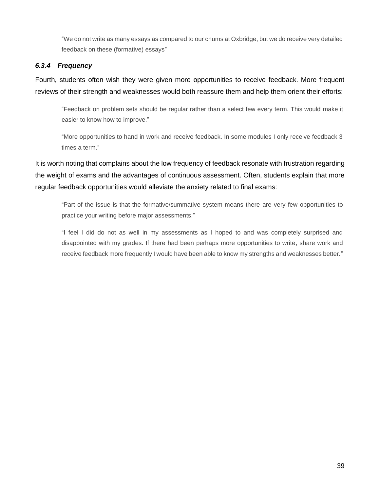"We do not write as many essays as compared to our chums at Oxbridge, but we do receive very detailed feedback on these (formative) essays"

#### *6.3.4 Frequency*

Fourth, students often wish they were given more opportunities to receive feedback. More frequent reviews of their strength and weaknesses would both reassure them and help them orient their efforts:

"Feedback on problem sets should be regular rather than a select few every term. This would make it easier to know how to improve."

"More opportunities to hand in work and receive feedback. In some modules I only receive feedback 3 times a term."

It is worth noting that complains about the low frequency of feedback resonate with frustration regarding the weight of exams and the advantages of continuous assessment. Often, students explain that more regular feedback opportunities would alleviate the anxiety related to final exams:

"Part of the issue is that the formative/summative system means there are very few opportunities to practice your writing before major assessments."

"I feel I did do not as well in my assessments as I hoped to and was completely surprised and disappointed with my grades. If there had been perhaps more opportunities to write, share work and receive feedback more frequently I would have been able to know my strengths and weaknesses better."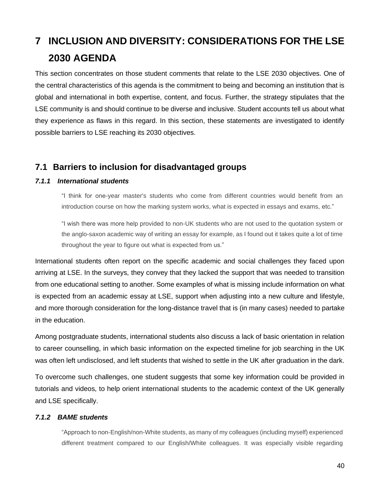## <span id="page-39-0"></span>**7 INCLUSION AND DIVERSITY: CONSIDERATIONS FOR THE LSE 2030 AGENDA**

This section concentrates on those student comments that relate to the LSE 2030 objectives. One of the central characteristics of this agenda is the commitment to being and becoming an institution that is global and international in both expertise, content, and focus. Further, the strategy stipulates that the LSE community is and should continue to be diverse and inclusive. Student accounts tell us about what they experience as flaws in this regard. In this section, these statements are investigated to identify possible barriers to LSE reaching its 2030 objectives.

## <span id="page-39-1"></span>**7.1 Barriers to inclusion for disadvantaged groups**

#### *7.1.1 International students*

"I think for one-year master's students who come from different countries would benefit from an introduction course on how the marking system works, what is expected in essays and exams, etc."

"I wish there was more help provided to non-UK students who are not used to the quotation system or the anglo-saxon academic way of writing an essay for example, as I found out it takes quite a lot of time throughout the year to figure out what is expected from us."

International students often report on the specific academic and social challenges they faced upon arriving at LSE. In the surveys, they convey that they lacked the support that was needed to transition from one educational setting to another. Some examples of what is missing include information on what is expected from an academic essay at LSE, support when adjusting into a new culture and lifestyle, and more thorough consideration for the long-distance travel that is (in many cases) needed to partake in the education.

Among postgraduate students, international students also discuss a lack of basic orientation in relation to career counselling, in which basic information on the expected timeline for job searching in the UK was often left undisclosed, and left students that wished to settle in the UK after graduation in the dark.

To overcome such challenges, one student suggests that some key information could be provided in tutorials and videos, to help orient international students to the academic context of the UK generally and LSE specifically.

#### *7.1.2 BAME students*

"Approach to non-English/non-White students, as many of my colleagues (including myself) experienced different treatment compared to our English/White colleagues. It was especially visible regarding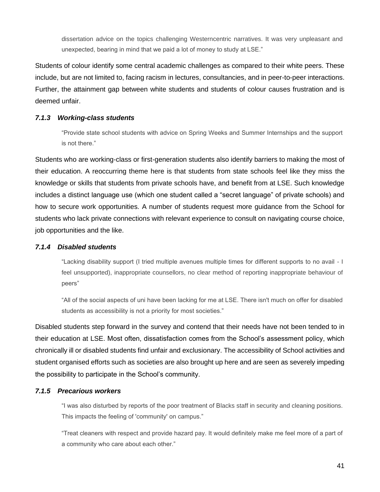dissertation advice on the topics challenging Westerncentric narratives. It was very unpleasant and unexpected, bearing in mind that we paid a lot of money to study at LSE."

Students of colour identify some central academic challenges as compared to their white peers. These include, but are not limited to, facing racism in lectures, consultancies, and in peer-to-peer interactions. Further, the attainment gap between white students and students of colour causes frustration and is deemed unfair.

#### *7.1.3 Working-class students*

"Provide state school students with advice on Spring Weeks and Summer Internships and the support is not there."

Students who are working-class or first-generation students also identify barriers to making the most of their education. A reoccurring theme here is that students from state schools feel like they miss the knowledge or skills that students from private schools have, and benefit from at LSE. Such knowledge includes a distinct language use (which one student called a "secret language" of private schools) and how to secure work opportunities. A number of students request more guidance from the School for students who lack private connections with relevant experience to consult on navigating course choice, job opportunities and the like.

#### *7.1.4 Disabled students*

"Lacking disability support (I tried multiple avenues multiple times for different supports to no avail - I feel unsupported), inappropriate counsellors, no clear method of reporting inappropriate behaviour of peers"

"All of the social aspects of uni have been lacking for me at LSE. There isn't much on offer for disabled students as accessibility is not a priority for most societies."

Disabled students step forward in the survey and contend that their needs have not been tended to in their education at LSE. Most often, dissatisfaction comes from the School's assessment policy, which chronically ill or disabled students find unfair and exclusionary. The accessibility of School activities and student organised efforts such as societies are also brought up here and are seen as severely impeding the possibility to participate in the School's community.

#### *7.1.5 Precarious workers*

"I was also disturbed by reports of the poor treatment of Blacks staff in security and cleaning positions. This impacts the feeling of 'community' on campus."

"Treat cleaners with respect and provide hazard pay. It would definitely make me feel more of a part of a community who care about each other."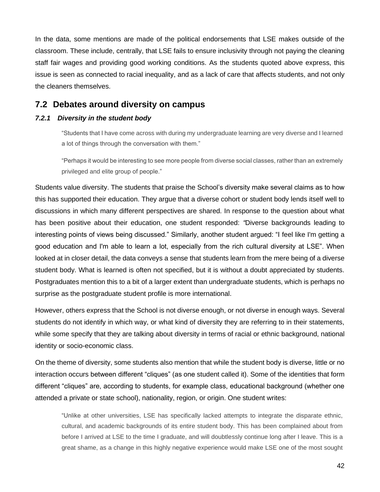In the data, some mentions are made of the political endorsements that LSE makes outside of the classroom. These include, centrally, that LSE fails to ensure inclusivity through not paying the cleaning staff fair wages and providing good working conditions. As the students quoted above express, this issue is seen as connected to racial inequality, and as a lack of care that affects students, and not only the cleaners themselves.

### <span id="page-41-0"></span>**7.2 Debates around diversity on campus**

#### *7.2.1 Diversity in the student body*

"Students that I have come across with during my undergraduate learning are very diverse and I learned a lot of things through the conversation with them."

"Perhaps it would be interesting to see more people from diverse social classes, rather than an extremely privileged and elite group of people."

Students value diversity. The students that praise the School's diversity make several claims as to how this has supported their education. They argue that a diverse cohort or student body lends itself well to discussions in which many different perspectives are shared. In response to the question about what has been positive about their education, one student responded: *"*Diverse backgrounds leading to interesting points of views being discussed." Similarly, another student argued: "I feel like I'm getting a good education and I'm able to learn a lot, especially from the rich cultural diversity at LSE". When looked at in closer detail, the data conveys a sense that students learn from the mere being of a diverse student body. What is learned is often not specified, but it is without a doubt appreciated by students. Postgraduates mention this to a bit of a larger extent than undergraduate students, which is perhaps no surprise as the postgraduate student profile is more international.

However, others express that the School is not diverse enough, or not diverse in enough ways. Several students do not identify in which way, or what kind of diversity they are referring to in their statements, while some specify that they are talking about diversity in terms of racial or ethnic background, national identity or socio-economic class.

On the theme of diversity, some students also mention that while the student body is diverse, little or no interaction occurs between different "cliques" (as one student called it). Some of the identities that form different "cliques" are, according to students, for example class, educational background (whether one attended a private or state school), nationality, region, or origin. One student writes:

"Unlike at other universities, LSE has specifically lacked attempts to integrate the disparate ethnic, cultural, and academic backgrounds of its entire student body. This has been complained about from before I arrived at LSE to the time I graduate, and will doubtlessly continue long after I leave. This is a great shame, as a change in this highly negative experience would make LSE one of the most sought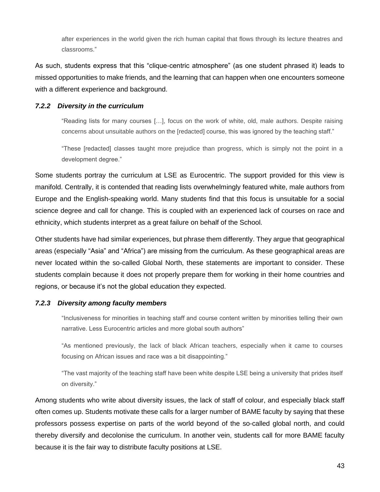after experiences in the world given the rich human capital that flows through its lecture theatres and classrooms."

As such, students express that this "clique-centric atmosphere" (as one student phrased it) leads to missed opportunities to make friends, and the learning that can happen when one encounters someone with a different experience and background.

#### *7.2.2 Diversity in the curriculum*

"Reading lists for many courses […], focus on the work of white, old, male authors. Despite raising concerns about unsuitable authors on the [redacted] course, this was ignored by the teaching staff."

"These [redacted] classes taught more prejudice than progress, which is simply not the point in a development degree."

Some students portray the curriculum at LSE as Eurocentric. The support provided for this view is manifold. Centrally, it is contended that reading lists overwhelmingly featured white, male authors from Europe and the English-speaking world. Many students find that this focus is unsuitable for a social science degree and call for change. This is coupled with an experienced lack of courses on race and ethnicity, which students interpret as a great failure on behalf of the School.

Other students have had similar experiences, but phrase them differently. They argue that geographical areas (especially "Asia" and "Africa") are missing from the curriculum. As these geographical areas are never located within the so-called Global North, these statements are important to consider. These students complain because it does not properly prepare them for working in their home countries and regions, or because it's not the global education they expected.

#### *7.2.3 Diversity among faculty members*

"Inclusiveness for minorities in teaching staff and course content written by minorities telling their own narrative. Less Eurocentric articles and more global south authors"

"As mentioned previously, the lack of black African teachers, especially when it came to courses focusing on African issues and race was a bit disappointing."

"The vast majority of the teaching staff have been white despite LSE being a university that prides itself on diversity."

Among students who write about diversity issues, the lack of staff of colour, and especially black staff often comes up. Students motivate these calls for a larger number of BAME faculty by saying that these professors possess expertise on parts of the world beyond of the so-called global north, and could thereby diversify and decolonise the curriculum. In another vein, students call for more BAME faculty because it is the fair way to distribute faculty positions at LSE.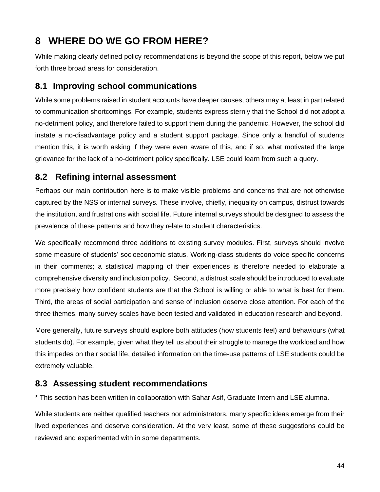## <span id="page-43-0"></span>**8 WHERE DO WE GO FROM HERE?**

While making clearly defined policy recommendations is beyond the scope of this report, below we put forth three broad areas for consideration.

## <span id="page-43-1"></span>**8.1 Improving school communications**

While some problems raised in student accounts have deeper causes, others may at least in part related to communication shortcomings. For example, students express sternly that the School did not adopt a no-detriment policy, and therefore failed to support them during the pandemic. However, the school did instate a no-disadvantage policy and a student support package. Since only a handful of students mention this, it is worth asking if they were even aware of this, and if so, what motivated the large grievance for the lack of a no-detriment policy specifically. LSE could learn from such a query.

## <span id="page-43-2"></span>**8.2 Refining internal assessment**

Perhaps our main contribution here is to make visible problems and concerns that are not otherwise captured by the NSS or internal surveys. These involve, chiefly, inequality on campus, distrust towards the institution, and frustrations with social life. Future internal surveys should be designed to assess the prevalence of these patterns and how they relate to student characteristics.

We specifically recommend three additions to existing survey modules. First, surveys should involve some measure of students' socioeconomic status. Working-class students do voice specific concerns in their comments; a statistical mapping of their experiences is therefore needed to elaborate a comprehensive diversity and inclusion policy. Second, a distrust scale should be introduced to evaluate more precisely how confident students are that the School is willing or able to what is best for them. Third, the areas of social participation and sense of inclusion deserve close attention. For each of the three themes, many survey scales have been tested and validated in education research and beyond.

More generally, future surveys should explore both attitudes (how students feel) and behaviours (what students do). For example, given what they tell us about their struggle to manage the workload and how this impedes on their social life, detailed information on the time-use patterns of LSE students could be extremely valuable.

## <span id="page-43-3"></span>**8.3 Assessing student recommendations**

\* This section has been written in collaboration with Sahar Asif, Graduate Intern and LSE alumna.

While students are neither qualified teachers nor administrators, many specific ideas emerge from their lived experiences and deserve consideration. At the very least, some of these suggestions could be reviewed and experimented with in some departments.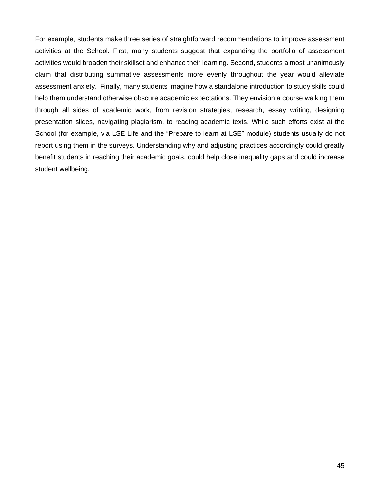For example, students make three series of straightforward recommendations to improve assessment activities at the School. First, many students suggest that expanding the portfolio of assessment activities would broaden their skillset and enhance their learning. Second, students almost unanimously claim that distributing summative assessments more evenly throughout the year would alleviate assessment anxiety. Finally, many students imagine how a standalone introduction to study skills could help them understand otherwise obscure academic expectations. They envision a course walking them through all sides of academic work, from revision strategies, research, essay writing, designing presentation slides, navigating plagiarism, to reading academic texts. While such efforts exist at the School (for example, via LSE Life and the "Prepare to learn at LSE" module) students usually do not report using them in the surveys. Understanding why and adjusting practices accordingly could greatly benefit students in reaching their academic goals, could help close inequality gaps and could increase student wellbeing.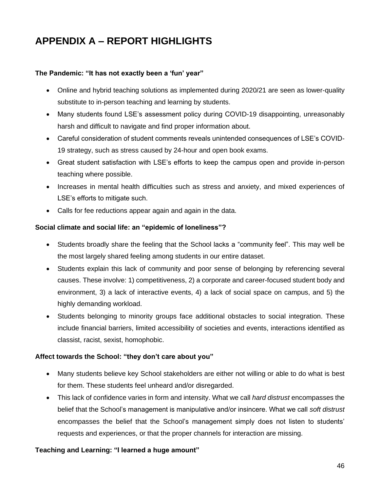## <span id="page-45-0"></span>**APPENDIX A – REPORT HIGHLIGHTS**

#### **The Pandemic: "It has not exactly been a 'fun' year"**

- Online and hybrid teaching solutions as implemented during 2020/21 are seen as lower-quality substitute to in-person teaching and learning by students.
- Many students found LSE's assessment policy during COVID-19 disappointing, unreasonably harsh and difficult to navigate and find proper information about.
- Careful consideration of student comments reveals unintended consequences of LSE's COVID-19 strategy, such as stress caused by 24-hour and open book exams.
- Great student satisfaction with LSE's efforts to keep the campus open and provide in-person teaching where possible.
- Increases in mental health difficulties such as stress and anxiety, and mixed experiences of LSE's efforts to mitigate such.
- Calls for fee reductions appear again and again in the data.

#### **Social climate and social life: an "epidemic of loneliness"?**

- Students broadly share the feeling that the School lacks a "community feel". This may well be the most largely shared feeling among students in our entire dataset.
- Students explain this lack of community and poor sense of belonging by referencing several causes. These involve: 1) competitiveness, 2) a corporate and career-focused student body and environment, 3) a lack of interactive events, 4) a lack of social space on campus, and 5) the highly demanding workload.
- Students belonging to minority groups face additional obstacles to social integration. These include financial barriers, limited accessibility of societies and events, interactions identified as classist, racist, sexist, homophobic.

#### **Affect towards the School: "they don't care about you"**

- Many students believe key School stakeholders are either not willing or able to do what is best for them. These students feel unheard and/or disregarded.
- This lack of confidence varies in form and intensity. What we call *hard distrust* encompasses the belief that the School's management is manipulative and/or insincere. What we call *soft distrust* encompasses the belief that the School's management simply does not listen to students' requests and experiences, or that the proper channels for interaction are missing.

#### **Teaching and Learning: "I learned a huge amount"**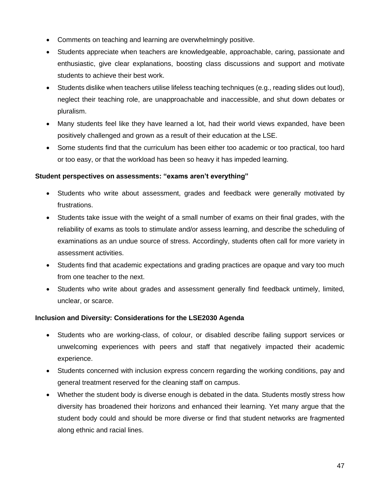- Comments on teaching and learning are overwhelmingly positive.
- Students appreciate when teachers are knowledgeable, approachable, caring, passionate and enthusiastic, give clear explanations, boosting class discussions and support and motivate students to achieve their best work.
- Students dislike when teachers utilise lifeless teaching techniques (e.g., reading slides out loud), neglect their teaching role, are unapproachable and inaccessible, and shut down debates or pluralism.
- Many students feel like they have learned a lot, had their world views expanded, have been positively challenged and grown as a result of their education at the LSE.
- Some students find that the curriculum has been either too academic or too practical, too hard or too easy, or that the workload has been so heavy it has impeded learning.

#### **Student perspectives on assessments: "exams aren't everything"**

- Students who write about assessment, grades and feedback were generally motivated by frustrations.
- Students take issue with the weight of a small number of exams on their final grades, with the reliability of exams as tools to stimulate and/or assess learning, and describe the scheduling of examinations as an undue source of stress. Accordingly, students often call for more variety in assessment activities.
- Students find that academic expectations and grading practices are opaque and vary too much from one teacher to the next.
- Students who write about grades and assessment generally find feedback untimely, limited, unclear, or scarce.

#### **Inclusion and Diversity: Considerations for the LSE2030 Agenda**

- Students who are working-class, of colour, or disabled describe failing support services or unwelcoming experiences with peers and staff that negatively impacted their academic experience.
- Students concerned with inclusion express concern regarding the working conditions, pay and general treatment reserved for the cleaning staff on campus.
- Whether the student body is diverse enough is debated in the data. Students mostly stress how diversity has broadened their horizons and enhanced their learning. Yet many argue that the student body could and should be more diverse or find that student networks are fragmented along ethnic and racial lines.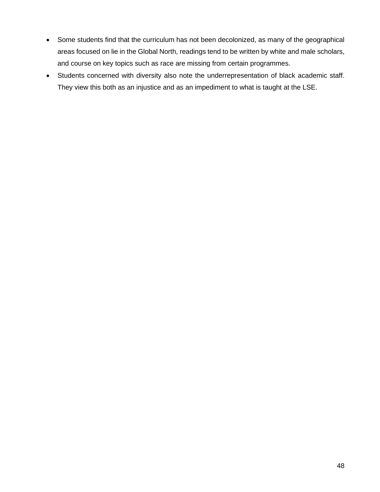- Some students find that the curriculum has not been decolonized, as many of the geographical areas focused on lie in the Global North, readings tend to be written by white and male scholars, and course on key topics such as race are missing from certain programmes.
- Students concerned with diversity also note the underrepresentation of black academic staff. They view this both as an injustice and as an impediment to what is taught at the LSE.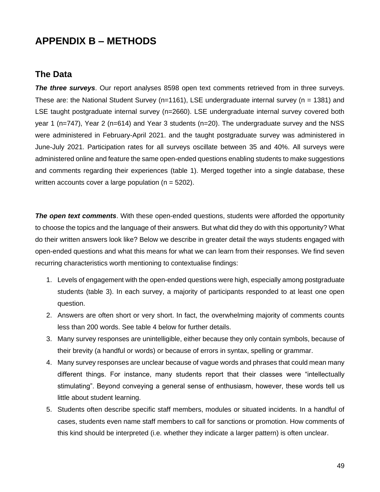## <span id="page-48-0"></span>**APPENDIX B – METHODS**

### <span id="page-48-1"></span>**The Data**

*The three surveys*. Our report analyses 8598 open text comments retrieved from in three surveys. These are: the National Student Survey ( $n=1161$ ), LSE undergraduate internal survey ( $n = 1381$ ) and LSE taught postgraduate internal survey (n=2660). LSE undergraduate internal survey covered both year 1 (n=747), Year 2 (n=614) and Year 3 students (n=20). The undergraduate survey and the NSS were administered in February-April 2021. and the taught postgraduate survey was administered in June-July 2021. Participation rates for all surveys oscillate between 35 and 40%. All surveys were administered online and feature the same open-ended questions enabling students to make suggestions and comments regarding their experiences (table 1). Merged together into a single database, these written accounts cover a large population ( $n = 5202$ ).

*The open text comments*. With these open-ended questions, students were afforded the opportunity to choose the topics and the language of their answers. But what did they do with this opportunity? What do their written answers look like? Below we describe in greater detail the ways students engaged with open-ended questions and what this means for what we can learn from their responses. We find seven recurring characteristics worth mentioning to contextualise findings:

- 1. Levels of engagement with the open-ended questions were high, especially among postgraduate students (table 3). In each survey, a majority of participants responded to at least one open question.
- 2. Answers are often short or very short. In fact, the overwhelming majority of comments counts less than 200 words. See table 4 below for further details.
- 3. Many survey responses are unintelligible, either because they only contain symbols, because of their brevity (a handful or words) or because of errors in syntax, spelling or grammar.
- 4. Many survey responses are unclear because of vague words and phrases that could mean many different things. For instance, many students report that their classes were "intellectually stimulating". Beyond conveying a general sense of enthusiasm, however, these words tell us little about student learning.
- 5. Students often describe specific staff members, modules or situated incidents. In a handful of cases, students even name staff members to call for sanctions or promotion. How comments of this kind should be interpreted (i.e. whether they indicate a larger pattern) is often unclear.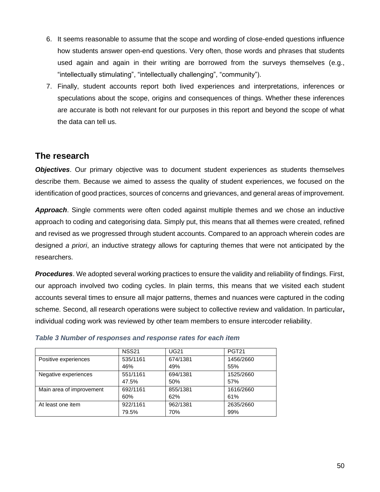- 6. It seems reasonable to assume that the scope and wording of close-ended questions influence how students answer open-end questions. Very often, those words and phrases that students used again and again in their writing are borrowed from the surveys themselves (e.g., "intellectually stimulating", "intellectually challenging", "community").
- 7. Finally, student accounts report both lived experiences and interpretations, inferences or speculations about the scope, origins and consequences of things. Whether these inferences are accurate is both not relevant for our purposes in this report and beyond the scope of what the data can tell us.

## <span id="page-49-0"></span>**The research**

*Objectives*. Our primary objective was to document student experiences as students themselves describe them. Because we aimed to assess the quality of student experiences, we focused on the identification of good practices, sources of concerns and grievances, and general areas of improvement.

*Approach*. Single comments were often coded against multiple themes and we chose an inductive approach to coding and categorising data. Simply put, this means that all themes were created, refined and revised as we progressed through student accounts. Compared to an approach wherein codes are designed *a priori*, an inductive strategy allows for capturing themes that were not anticipated by the researchers.

*Procedures*. We adopted several working practices to ensure the validity and reliability of findings. First, our approach involved two coding cycles. In plain terms, this means that we visited each student accounts several times to ensure all major patterns, themes and nuances were captured in the coding scheme. Second, all research operations were subject to collective review and validation. In particular**,**  individual coding work was reviewed by other team members to ensure intercoder reliability.

|                          | <b>NSS21</b> | <b>UG21</b> | <b>PGT21</b> |
|--------------------------|--------------|-------------|--------------|
| Positive experiences     | 535/1161     | 674/1381    | 1456/2660    |
|                          | 46%          | 49%         | 55%          |
| Negative experiences     | 551/1161     | 694/1381    | 1525/2660    |
|                          | 47.5%        | 50%         | 57%          |
| Main area of improvement | 692/1161     | 855/1381    | 1616/2660    |
|                          | 60%          | 62%         | 61%          |
| At least one item        | 922/1161     | 962/1381    | 2635/2660    |
|                          | 79.5%        | 70%         | 99%          |

#### *Table 3 Number of responses and response rates for each item*